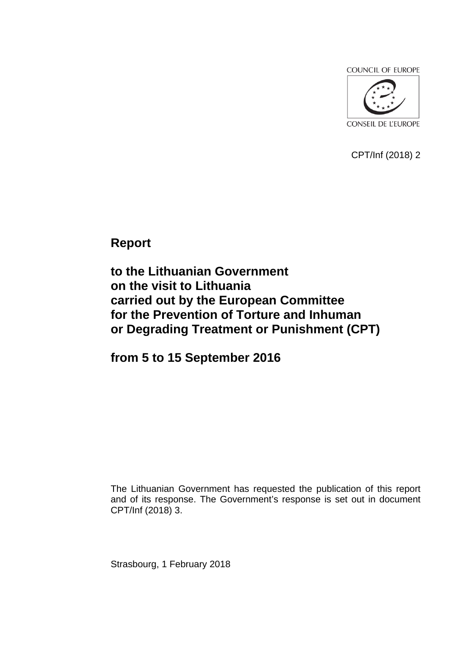**COUNCIL OF EUROPE** 



CPT/Inf (2018) 2

**Report** 

**to the Lithuanian Government on the visit to Lithuania carried out by the European Committee for the Prevention of Torture and Inhuman or Degrading Treatment or Punishment (CPT)**

**from 5 to 15 September 2016**

The Lithuanian Government has requested the publication of this report and of its response. The Government's response is set out in document CPT/Inf (2018) 3.

Strasbourg, 1 February 2018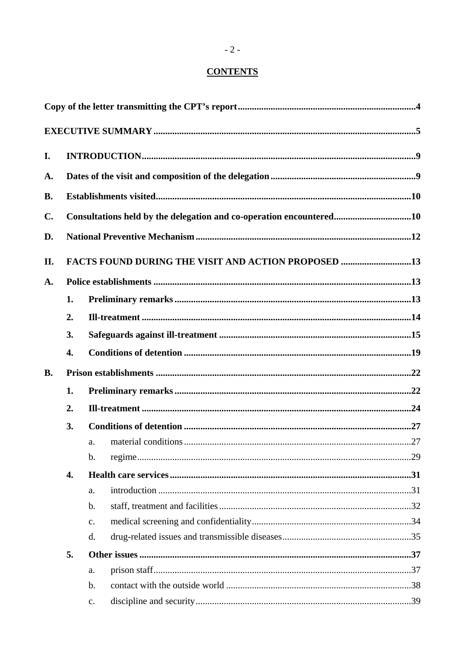# **CONTENTS**

| I.        |    |                                                                     |  |
|-----------|----|---------------------------------------------------------------------|--|
| A.        |    |                                                                     |  |
| <b>B.</b> |    |                                                                     |  |
| C.        |    | Consultations held by the delegation and co-operation encountered10 |  |
| D.        |    |                                                                     |  |
|           |    |                                                                     |  |
| II.       |    | <b>FACTS FOUND DURING THE VISIT AND ACTION PROPOSED 13</b>          |  |
| A.        |    |                                                                     |  |
|           | 1. |                                                                     |  |
|           | 2. |                                                                     |  |
|           | 3. |                                                                     |  |
|           | 4. |                                                                     |  |
| <b>B.</b> |    |                                                                     |  |
|           | 1. |                                                                     |  |
|           | 2. |                                                                     |  |
|           | 3. |                                                                     |  |
|           |    | a.                                                                  |  |
|           |    | $\mathbf b$ .                                                       |  |
|           | 4. |                                                                     |  |
|           |    | a.                                                                  |  |
|           |    | $\mathbf{b}$ .                                                      |  |
|           |    | $C_{\bullet}$                                                       |  |
|           |    | d.                                                                  |  |
|           | 5. |                                                                     |  |
|           |    | a.                                                                  |  |
|           |    | $\mathbf b$ .                                                       |  |
|           |    | $\mathbf{c}.$                                                       |  |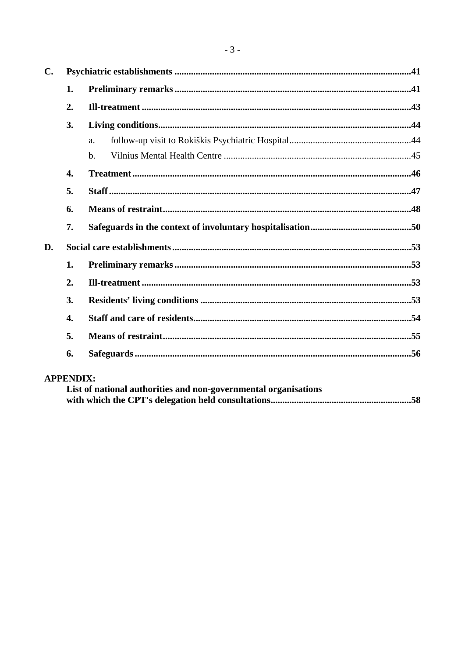| $\mathbf{C}$ . |    |             |  |  |
|----------------|----|-------------|--|--|
|                | 1. |             |  |  |
|                | 2. |             |  |  |
| 3.             |    |             |  |  |
|                |    | a.          |  |  |
|                |    | $h_{\cdot}$ |  |  |
| 4.             |    |             |  |  |
| 5.             |    |             |  |  |
|                | 6. |             |  |  |
| 7.             |    |             |  |  |
| D.             |    |             |  |  |
| 1.             |    |             |  |  |
|                | 2. |             |  |  |
|                | 3. |             |  |  |
| 4.<br>5.       |    |             |  |  |
|                |    |             |  |  |
|                | 6. |             |  |  |

# **APPENDIX:**

| List of national authorities and non-governmental organisations |  |
|-----------------------------------------------------------------|--|
|                                                                 |  |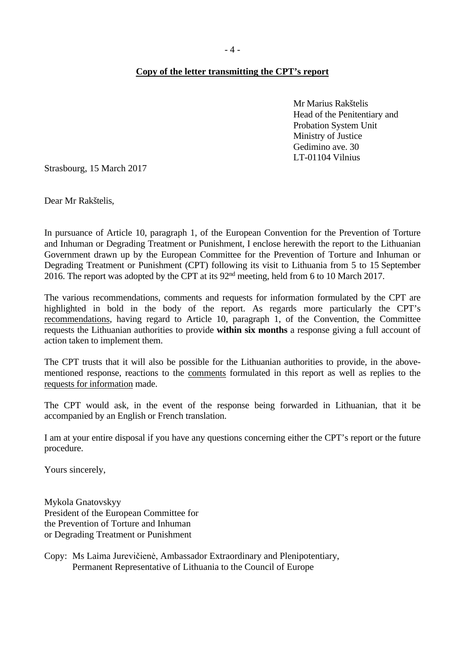## <span id="page-3-0"></span>**Copy of the letter transmitting the CPT's report**

Mr Marius Rakštelis Head of the Penitentiary and Probation System Unit Ministry of Justice Gedimino ave. 30 LT-01104 Vilnius

Strasbourg, 15 March 2017

Dear Mr Rakštelis,

In pursuance of Article 10, paragraph 1, of the European Convention for the Prevention of Torture and Inhuman or Degrading Treatment or Punishment, I enclose herewith the report to the Lithuanian Government drawn up by the European Committee for the Prevention of Torture and Inhuman or Degrading Treatment or Punishment (CPT) following its visit to Lithuania from 5 to 15 September 2016. The report was adopted by the CPT at its 92nd meeting, held from 6 to 10 March 2017.

The various recommendations, comments and requests for information formulated by the CPT are highlighted in bold in the body of the report. As regards more particularly the CPT's recommendations, having regard to Article 10, paragraph 1, of the Convention, the Committee requests the Lithuanian authorities to provide **within six months** a response giving a full account of action taken to implement them.

The CPT trusts that it will also be possible for the Lithuanian authorities to provide, in the abovementioned response, reactions to the comments formulated in this report as well as replies to the requests for information made.

The CPT would ask, in the event of the response being forwarded in Lithuanian, that it be accompanied by an English or French translation.

I am at your entire disposal if you have any questions concerning either the CPT's report or the future procedure.

Yours sincerely,

Mykola Gnatovskyy President of the European Committee for the Prevention of Torture and Inhuman or Degrading Treatment or Punishment

Copy: Ms Laima Jurevičienė, Ambassador Extraordinary and Plenipotentiary, Permanent Representative of Lithuania to the Council of Europe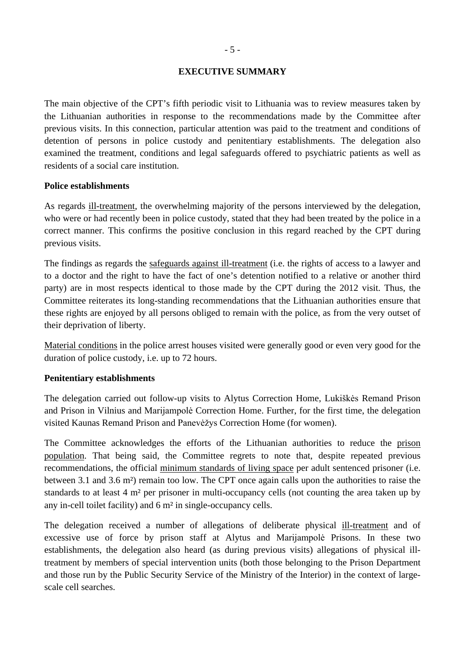### <span id="page-4-0"></span>**EXECUTIVE SUMMARY**

The main objective of the CPT's fifth periodic visit to Lithuania was to review measures taken by the Lithuanian authorities in response to the recommendations made by the Committee after previous visits. In this connection, particular attention was paid to the treatment and conditions of detention of persons in police custody and penitentiary establishments. The delegation also examined the treatment, conditions and legal safeguards offered to psychiatric patients as well as residents of a social care institution.

#### **Police establishments**

As regards ill-treatment, the overwhelming majority of the persons interviewed by the delegation, who were or had recently been in police custody, stated that they had been treated by the police in a correct manner. This confirms the positive conclusion in this regard reached by the CPT during previous visits.

The findings as regards the safeguards against ill-treatment (i.e. the rights of access to a lawyer and to a doctor and the right to have the fact of one's detention notified to a relative or another third party) are in most respects identical to those made by the CPT during the 2012 visit. Thus, the Committee reiterates its long-standing recommendations that the Lithuanian authorities ensure that these rights are enjoyed by all persons obliged to remain with the police, as from the very outset of their deprivation of liberty.

Material conditions in the police arrest houses visited were generally good or even very good for the duration of police custody, i.e. up to 72 hours.

#### **Penitentiary establishments**

The delegation carried out follow-up visits to Alytus Correction Home, Lukiškės Remand Prison and Prison in Vilnius and Marijampolė Correction Home. Further, for the first time, the delegation visited Kaunas Remand Prison and Panevėžys Correction Home (for women).

The Committee acknowledges the efforts of the Lithuanian authorities to reduce the prison population. That being said, the Committee regrets to note that, despite repeated previous recommendations, the official minimum standards of living space per adult sentenced prisoner (i.e. between 3.1 and 3.6 m²) remain too low. The CPT once again calls upon the authorities to raise the standards to at least 4 m² per prisoner in multi-occupancy cells (not counting the area taken up by any in-cell toilet facility) and 6 m² in single-occupancy cells.

The delegation received a number of allegations of deliberate physical ill-treatment and of excessive use of force by prison staff at Alytus and Marijampolė Prisons. In these two establishments, the delegation also heard (as during previous visits) allegations of physical illtreatment by members of special intervention units (both those belonging to the Prison Department and those run by the Public Security Service of the Ministry of the Interior) in the context of largescale cell searches.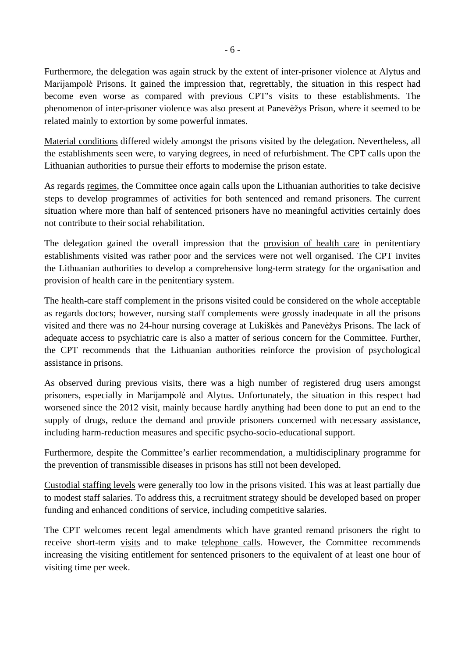Furthermore, the delegation was again struck by the extent of inter-prisoner violence at Alytus and Marijampolė Prisons. It gained the impression that, regrettably, the situation in this respect had become even worse as compared with previous CPT's visits to these establishments. The phenomenon of inter-prisoner violence was also present at Panevėžys Prison, where it seemed to be related mainly to extortion by some powerful inmates.

Material conditions differed widely amongst the prisons visited by the delegation. Nevertheless, all the establishments seen were, to varying degrees, in need of refurbishment. The CPT calls upon the Lithuanian authorities to pursue their efforts to modernise the prison estate.

As regards regimes, the Committee once again calls upon the Lithuanian authorities to take decisive steps to develop programmes of activities for both sentenced and remand prisoners. The current situation where more than half of sentenced prisoners have no meaningful activities certainly does not contribute to their social rehabilitation.

The delegation gained the overall impression that the provision of health care in penitentiary establishments visited was rather poor and the services were not well organised. The CPT invites the Lithuanian authorities to develop a comprehensive long-term strategy for the organisation and provision of health care in the penitentiary system.

The health-care staff complement in the prisons visited could be considered on the whole acceptable as regards doctors; however, nursing staff complements were grossly inadequate in all the prisons visited and there was no 24-hour nursing coverage at Lukiškės and Panevėžys Prisons. The lack of adequate access to psychiatric care is also a matter of serious concern for the Committee. Further, the CPT recommends that the Lithuanian authorities reinforce the provision of psychological assistance in prisons.

As observed during previous visits, there was a high number of registered drug users amongst prisoners, especially in Marijampolė and Alytus. Unfortunately, the situation in this respect had worsened since the 2012 visit, mainly because hardly anything had been done to put an end to the supply of drugs, reduce the demand and provide prisoners concerned with necessary assistance, including harm-reduction measures and specific psycho-socio-educational support.

Furthermore, despite the Committee's earlier recommendation, a multidisciplinary programme for the prevention of transmissible diseases in prisons has still not been developed.

Custodial staffing levels were generally too low in the prisons visited. This was at least partially due to modest staff salaries. To address this, a recruitment strategy should be developed based on proper funding and enhanced conditions of service, including competitive salaries.

The CPT welcomes recent legal amendments which have granted remand prisoners the right to receive short-term visits and to make telephone calls. However, the Committee recommends increasing the visiting entitlement for sentenced prisoners to the equivalent of at least one hour of visiting time per week.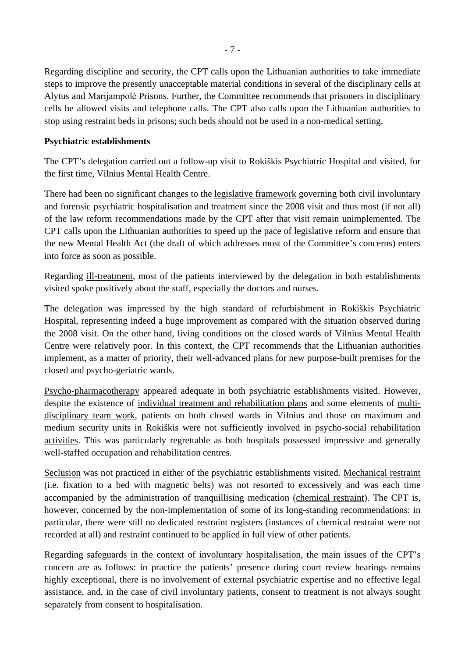Regarding discipline and security, the CPT calls upon the Lithuanian authorities to take immediate steps to improve the presently unacceptable material conditions in several of the disciplinary cells at Alytus and Marijampolė Prisons. Further, the Committee recommends that prisoners in disciplinary cells be allowed visits and telephone calls. The CPT also calls upon the Lithuanian authorities to stop using restraint beds in prisons; such beds should not be used in a non-medical setting.

## **Psychiatric establishments**

The CPT's delegation carried out a follow-up visit to Rokiškis Psychiatric Hospital and visited, for the first time, Vilnius Mental Health Centre.

There had been no significant changes to the legislative framework governing both civil involuntary and forensic psychiatric hospitalisation and treatment since the 2008 visit and thus most (if not all) of the law reform recommendations made by the CPT after that visit remain unimplemented. The CPT calls upon the Lithuanian authorities to speed up the pace of legislative reform and ensure that the new Mental Health Act (the draft of which addresses most of the Committee's concerns) enters into force as soon as possible.

Regarding ill-treatment, most of the patients interviewed by the delegation in both establishments visited spoke positively about the staff, especially the doctors and nurses.

The delegation was impressed by the high standard of refurbishment in Rokiškis Psychiatric Hospital, representing indeed a huge improvement as compared with the situation observed during the 2008 visit. On the other hand, living conditions on the closed wards of Vilnius Mental Health Centre were relatively poor. In this context, the CPT recommends that the Lithuanian authorities implement, as a matter of priority, their well-advanced plans for new purpose-built premises for the closed and psycho-geriatric wards.

Psycho-pharmacotherapy appeared adequate in both psychiatric establishments visited. However, despite the existence of individual treatment and rehabilitation plans and some elements of multidisciplinary team work, patients on both closed wards in Vilnius and those on maximum and medium security units in Rokiškis were not sufficiently involved in psycho-social rehabilitation activities. This was particularly regrettable as both hospitals possessed impressive and generally well-staffed occupation and rehabilitation centres.

Seclusion was not practiced in either of the psychiatric establishments visited. Mechanical restraint (i.e. fixation to a bed with magnetic belts) was not resorted to excessively and was each time accompanied by the administration of tranquillising medication (chemical restraint). The CPT is, however, concerned by the non-implementation of some of its long-standing recommendations: in particular, there were still no dedicated restraint registers (instances of chemical restraint were not recorded at all) and restraint continued to be applied in full view of other patients.

Regarding safeguards in the context of involuntary hospitalisation, the main issues of the CPT's concern are as follows: in practice the patients' presence during court review hearings remains highly exceptional, there is no involvement of external psychiatric expertise and no effective legal assistance, and, in the case of civil involuntary patients, consent to treatment is not always sought separately from consent to hospitalisation.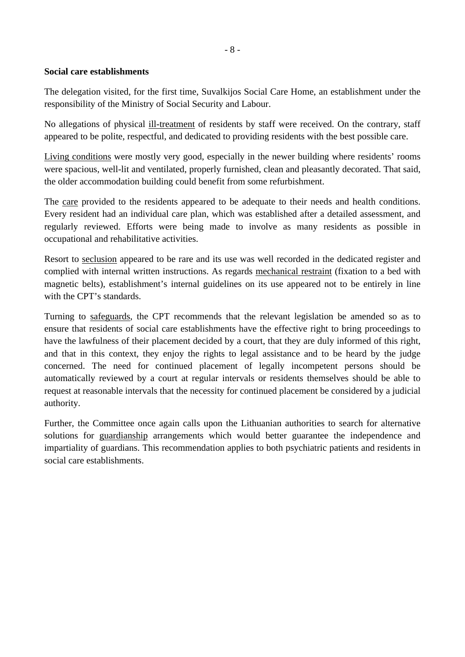# **Social care establishments**

The delegation visited, for the first time, Suvalkijos Social Care Home, an establishment under the responsibility of the Ministry of Social Security and Labour.

No allegations of physical ill-treatment of residents by staff were received. On the contrary, staff appeared to be polite, respectful, and dedicated to providing residents with the best possible care.

Living conditions were mostly very good, especially in the newer building where residents' rooms were spacious, well-lit and ventilated, properly furnished, clean and pleasantly decorated. That said, the older accommodation building could benefit from some refurbishment.

The care provided to the residents appeared to be adequate to their needs and health conditions. Every resident had an individual care plan, which was established after a detailed assessment, and regularly reviewed. Efforts were being made to involve as many residents as possible in occupational and rehabilitative activities.

Resort to seclusion appeared to be rare and its use was well recorded in the dedicated register and complied with internal written instructions. As regards mechanical restraint (fixation to a bed with magnetic belts), establishment's internal guidelines on its use appeared not to be entirely in line with the CPT's standards.

Turning to safeguards, the CPT recommends that the relevant legislation be amended so as to ensure that residents of social care establishments have the effective right to bring proceedings to have the lawfulness of their placement decided by a court, that they are duly informed of this right, and that in this context, they enjoy the rights to legal assistance and to be heard by the judge concerned. The need for continued placement of legally incompetent persons should be automatically reviewed by a court at regular intervals or residents themselves should be able to request at reasonable intervals that the necessity for continued placement be considered by a judicial authority.

Further, the Committee once again calls upon the Lithuanian authorities to search for alternative solutions for guardianship arrangements which would better guarantee the independence and impartiality of guardians. This recommendation applies to both psychiatric patients and residents in social care establishments.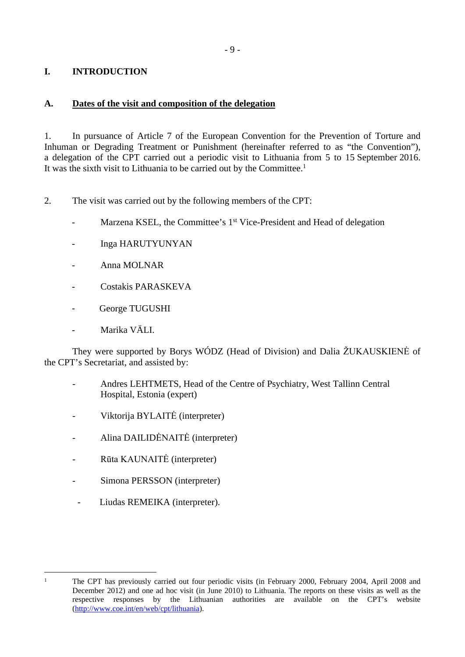# <span id="page-8-0"></span>**I. INTRODUCTION**

## <span id="page-8-1"></span>**A. Dates of the visit and composition of the delegation**

1. In pursuance of Article 7 of the European Convention for the Prevention of Torture and Inhuman or Degrading Treatment or Punishment (hereinafter referred to as "the Convention"), a delegation of the CPT carried out a periodic visit to Lithuania from 5 to 15 September 2016. It was the sixth visit to Lithuania to be carried out by the Committee.<sup>1</sup>

- 2. The visit was carried out by the following members of the CPT:
	- Marzena KSEL, the Committee's 1<sup>st</sup> Vice-President and Head of delegation
	- Inga HARUTYUNYAN
	- Anna MOLNAR
	- Costakis PARASKEVA
	- George TUGUSHI
	- Marika VÄLL.

They were supported by Borys WÓDZ (Head of Division) and Dalia ŽUKAUSKIENĖ of the CPT's Secretariat, and assisted by:

- Andres LEHTMETS, Head of the Centre of Psychiatry, West Tallinn Central Hospital, Estonia (expert)
- Viktorija BYLAITĖ (interpreter)
- Alina DAILIDĖNAITĖ (interpreter)
- Rūta KAUNAITĖ (interpreter)
- Simona PERSSON (interpreter)
- Liudas REMEIKA (interpreter).

<sup>&</sup>lt;sup>1</sup> The CPT has previously carried out four periodic visits (in February 2000, February 2004, April 2008 and December 2012) and one ad hoc visit (in June 2010) to Lithuania. The reports on these visits as well as the respective responses by the Lithuanian authorities are available on the CPT's website [\(http://www.coe.int/en/web/cpt/lithuania](http://www.coe.int/en/web/cpt/lithuania)).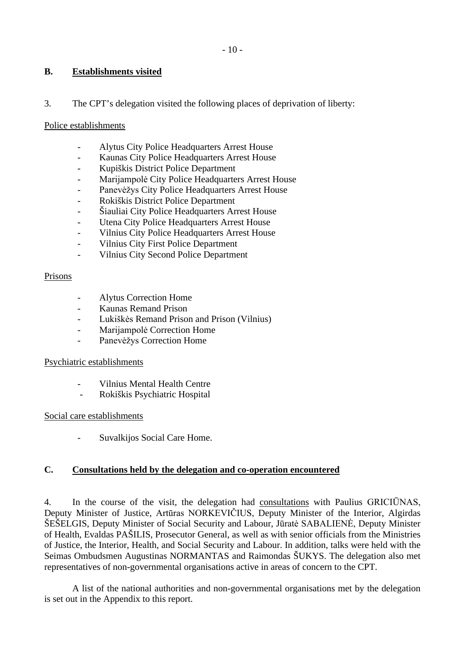## <span id="page-9-0"></span>**B. Establishments visited**

### 3. The CPT's delegation visited the following places of deprivation of liberty:

#### Police establishments

- Alytus City Police Headquarters Arrest House
- Kaunas City Police Headquarters Arrest House
- Kupiškis District Police Department
- Marijampolė City Police Headquarters Arrest House
- Panevėžys City Police Headquarters Arrest House
- Rokiškis District Police Department
- Šiauliai City Police Headquarters Arrest House
- Utena City Police Headquarters Arrest House
- Vilnius City Police Headquarters Arrest House
- Vilnius City First Police Department
- Vilnius City Second Police Department

#### Prisons

- Alytus Correction Home
- Kaunas Remand Prison
- Lukiškės Remand Prison and Prison (Vilnius)
- Marijampolė Correction Home
- Panevėžys Correction Home

### Psychiatric establishments

- Vilnius Mental Health Centre
- Rokiškis Psychiatric Hospital

### Social care establishments

Suvalkijos Social Care Home.

## <span id="page-9-1"></span>**C. Consultations held by the delegation and co-operation encountered**

4. In the course of the visit, the delegation had consultations with Paulius GRICIŪNAS, Deputy Minister of Justice, Artūras NORKEVIČIUS, Deputy Minister of the Interior, Algirdas ŠEŠELGIS, Deputy Minister of Social Security and Labour, Jūratė SABALIENĖ, Deputy Minister of Health, Evaldas PAŠILIS, Prosecutor General, as well as with senior officials from the Ministries of Justice, the Interior, Health, and Social Security and Labour. In addition, talks were held with the Seimas Ombudsmen Augustinas NORMANTAS and Raimondas ŠUKYS. The delegation also met representatives of non-governmental organisations active in areas of concern to the CPT.

A list of the national authorities and non-governmental organisations met by the delegation is set out in the Appendix to this report.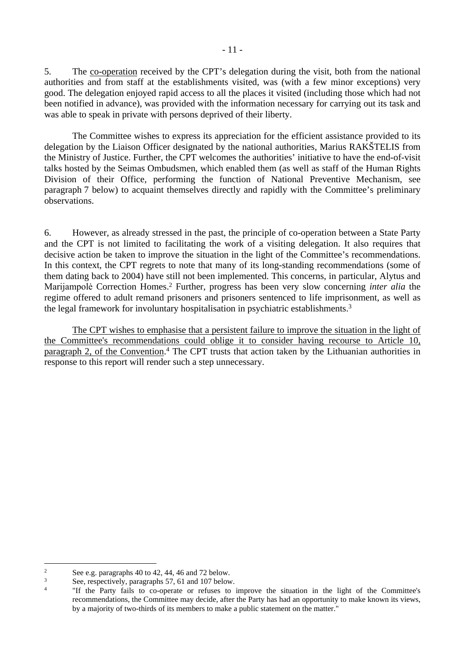5. The co-operation received by the CPT's delegation during the visit, both from the national authorities and from staff at the establishments visited, was (with a few minor exceptions) very good. The delegation enjoyed rapid access to all the places it visited (including those which had not been notified in advance), was provided with the information necessary for carrying out its task and was able to speak in private with persons deprived of their liberty.

The Committee wishes to express its appreciation for the efficient assistance provided to its delegation by the Liaison Officer designated by the national authorities, Marius RAKŠTELIS from the Ministry of Justice. Further, the CPT welcomes the authorities' initiative to have the end-of-visit talks hosted by the Seimas Ombudsmen, which enabled them (as well as staff of the Human Rights Division of their Office, performing the function of National Preventive Mechanism, see paragraph 7 below) to acquaint themselves directly and rapidly with the Committee's preliminary observations.

6. However, as already stressed in the past, the principle of co-operation between a State Party and the CPT is not limited to facilitating the work of a visiting delegation. It also requires that decisive action be taken to improve the situation in the light of the Committee's recommendations. In this context, the CPT regrets to note that many of its long-standing recommendations (some of them dating back to 2004) have still not been implemented. This concerns, in particular, Alytus and Marijampolė Correction Homes.<sup>2</sup> Further, progress has been very slow concerning *inter alia* the regime offered to adult remand prisoners and prisoners sentenced to life imprisonment, as well as the legal framework for involuntary hospitalisation in psychiatric establishments.<sup>3</sup>

The CPT wishes to emphasise that a persistent failure to improve the situation in the light of the Committee's recommendations could oblige it to consider having recourse to Article 10, paragraph 2, of the Convention.<sup>4</sup> The CPT trusts that action taken by the Lithuanian authorities in response to this report will render such a step unnecessary.

<sup>2</sup> See e.g. paragraphs 40 to 42, 44, 46 and 72 below.

<sup>3</sup> See, respectively, paragraphs 57, 61 and 107 below.

<sup>4</sup> "If the Party fails to co-operate or refuses to improve the situation in the light of the Committee's recommendations, the Committee may decide, after the Party has had an opportunity to make known its views, by a majority of two-thirds of its members to make a public statement on the matter."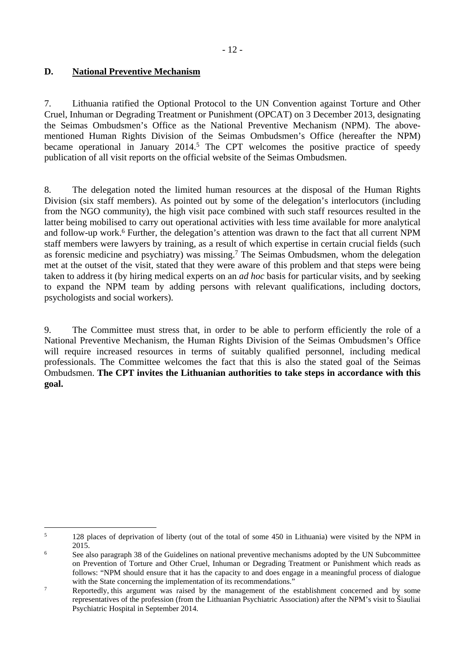## <span id="page-11-0"></span>**D. National Preventive Mechanism**

7. Lithuania ratified the Optional Protocol to the UN Convention against Torture and Other Cruel, Inhuman or Degrading Treatment or Punishment (OPCAT) on 3 December 2013, designating the Seimas Ombudsmen's Office as the National Preventive Mechanism (NPM). The abovementioned Human Rights Division of the Seimas Ombudsmen's Office (hereafter the NPM) became operational in January 2014.<sup>5</sup> The CPT welcomes the positive practice of speedy publication of all visit reports on the official website of the Seimas Ombudsmen.

8. The delegation noted the limited human resources at the disposal of the Human Rights Division (six staff members). As pointed out by some of the delegation's interlocutors (including from the NGO community), the high visit pace combined with such staff resources resulted in the latter being mobilised to carry out operational activities with less time available for more analytical and follow-up work.<sup>6</sup> Further, the delegation's attention was drawn to the fact that all current NPM staff members were lawyers by training, as a result of which expertise in certain crucial fields (such as forensic medicine and psychiatry) was missing.<sup>7</sup> The Seimas Ombudsmen, whom the delegation met at the outset of the visit, stated that they were aware of this problem and that steps were being taken to address it (by hiring medical experts on an *ad hoc* basis for particular visits, and by seeking to expand the NPM team by adding persons with relevant qualifications, including doctors, psychologists and social workers).

9. The Committee must stress that, in order to be able to perform efficiently the role of a National Preventive Mechanism, the Human Rights Division of the Seimas Ombudsmen's Office will require increased resources in terms of suitably qualified personnel, including medical professionals. The Committee welcomes the fact that this is also the stated goal of the Seimas Ombudsmen. **The CPT invites the Lithuanian authorities to take steps in accordance with this goal.**

<sup>5</sup> 128 places of deprivation of liberty (out of the total of some 450 in Lithuania) were visited by the NPM in 2015.

<sup>6</sup> See also paragraph 38 of the Guidelines on national preventive mechanisms adopted by the UN Subcommittee on Prevention of Torture and Other Cruel, Inhuman or Degrading Treatment or Punishment which reads as follows: "NPM should ensure that it has the capacity to and does engage in a meaningful process of dialogue with the State concerning the implementation of its recommendations."

<sup>7</sup> Reportedly, this argument was raised by the management of the establishment concerned and by some representatives of the profession (from the Lithuanian Psychiatric Association) after the NPM's visit to Šiauliai Psychiatric Hospital in September 2014.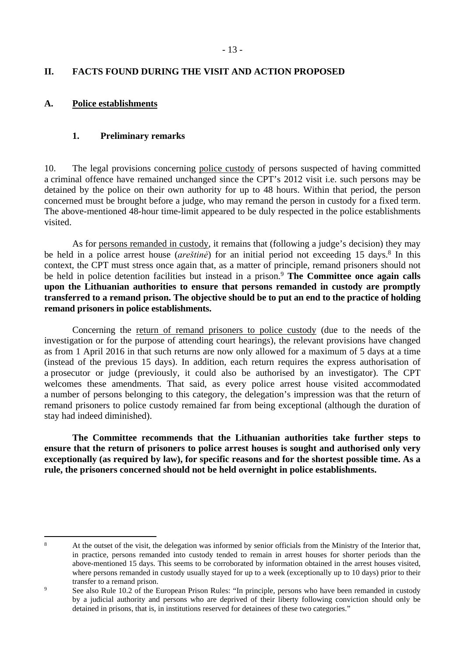## <span id="page-12-0"></span>**II. FACTS FOUND DURING THE VISIT AND ACTION PROPOSED**

### <span id="page-12-1"></span>**A. Police establishments**

### <span id="page-12-2"></span>**1. Preliminary remarks**

10. The legal provisions concerning police custody of persons suspected of having committed a criminal offence have remained unchanged since the CPT's 2012 visit i.e. such persons may be detained by the police on their own authority for up to 48 hours. Within that period, the person concerned must be brought before a judge, who may remand the person in custody for a fixed term. The above-mentioned 48-hour time-limit appeared to be duly respected in the police establishments visited.

As for persons remanded in custody, it remains that (following a judge's decision) they may be held in a police arrest house (*areštinė*) for an initial period not exceeding 15 days.<sup>8</sup> In this context, the CPT must stress once again that, as a matter of principle, remand prisoners should not be held in police detention facilities but instead in a prison.<sup>9</sup> **The Committee once again calls upon the Lithuanian authorities to ensure that persons remanded in custody are promptly transferred to a remand prison. The objective should be to put an end to the practice of holding remand prisoners in police establishments.**

Concerning the return of remand prisoners to police custody (due to the needs of the investigation or for the purpose of attending court hearings), the relevant provisions have changed as from 1 April 2016 in that such returns are now only allowed for a maximum of 5 days at a time (instead of the previous 15 days). In addition, each return requires the express authorisation of a prosecutor or judge (previously, it could also be authorised by an investigator). The CPT welcomes these amendments. That said, as every police arrest house visited accommodated a number of persons belonging to this category, the delegation's impression was that the return of remand prisoners to police custody remained far from being exceptional (although the duration of stay had indeed diminished).

**The Committee recommends that the Lithuanian authorities take further steps to ensure that the return of prisoners to police arrest houses is sought and authorised only very exceptionally (as required by law), for specific reasons and for the shortest possible time. As a rule, the prisoners concerned should not be held overnight in police establishments.**

<sup>8</sup>

At the outset of the visit, the delegation was informed by senior officials from the Ministry of the Interior that, in practice, persons remanded into custody tended to remain in arrest houses for shorter periods than the above-mentioned 15 days. This seems to be corroborated by information obtained in the arrest houses visited, where persons remanded in custody usually stayed for up to a week (exceptionally up to 10 days) prior to their transfer to a remand prison.

<sup>9</sup> See also Rule 10.2 of the European Prison Rules: "In principle, persons who have been remanded in custody by a judicial authority and persons who are deprived of their liberty following conviction should only be detained in prisons, that is, in institutions reserved for detainees of these two categories."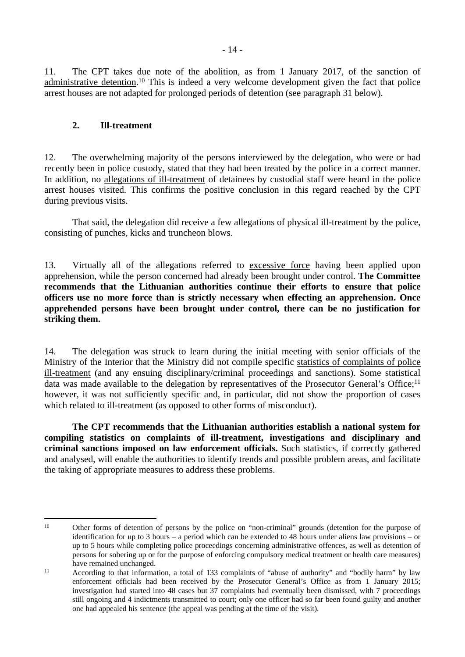11. The CPT takes due note of the abolition, as from 1 January 2017, of the sanction of administrative detention.<sup>10</sup> This is indeed a very welcome development given the fact that police arrest houses are not adapted for prolonged periods of detention (see paragraph 31 below).

### <span id="page-13-0"></span>**2. Ill-treatment**

12. The overwhelming majority of the persons interviewed by the delegation, who were or had recently been in police custody, stated that they had been treated by the police in a correct manner. In addition, no allegations of ill-treatment of detainees by custodial staff were heard in the police arrest houses visited. This confirms the positive conclusion in this regard reached by the CPT during previous visits.

That said, the delegation did receive a few allegations of physical ill-treatment by the police, consisting of punches, kicks and truncheon blows.

13. Virtually all of the allegations referred to excessive force having been applied upon apprehension, while the person concerned had already been brought under control. **The Committee recommends that the Lithuanian authorities continue their efforts to ensure that police officers use no more force than is strictly necessary when effecting an apprehension. Once apprehended persons have been brought under control, there can be no justification for striking them.**

14. The delegation was struck to learn during the initial meeting with senior officials of the Ministry of the Interior that the Ministry did not compile specific statistics of complaints of police ill-treatment (and any ensuing disciplinary/criminal proceedings and sanctions). Some statistical data was made available to the delegation by representatives of the Prosecutor General's Office;<sup>11</sup> however, it was not sufficiently specific and, in particular, did not show the proportion of cases which related to ill-treatment (as opposed to other forms of misconduct).

**The CPT recommends that the Lithuanian authorities establish a national system for compiling statistics on complaints of ill-treatment, investigations and disciplinary and criminal sanctions imposed on law enforcement officials.** Such statistics, if correctly gathered and analysed, will enable the authorities to identify trends and possible problem areas, and facilitate the taking of appropriate measures to address these problems.

<sup>10</sup> Other forms of detention of persons by the police on "non-criminal" grounds (detention for the purpose of identification for up to 3 hours – a period which can be extended to 48 hours under aliens law provisions – or up to 5 hours while completing police proceedings concerning administrative offences, as well as detention of persons for sobering up or for the purpose of enforcing compulsory medical treatment or health care measures) have remained unchanged.

<sup>&</sup>lt;sup>11</sup> According to that information, a total of 133 complaints of "abuse of authority" and "bodily harm" by law enforcement officials had been received by the Prosecutor General's Office as from 1 January 2015; investigation had started into 48 cases but 37 complaints had eventually been dismissed, with 7 proceedings still ongoing and 4 indictments transmitted to court; only one officer had so far been found guilty and another one had appealed his sentence (the appeal was pending at the time of the visit).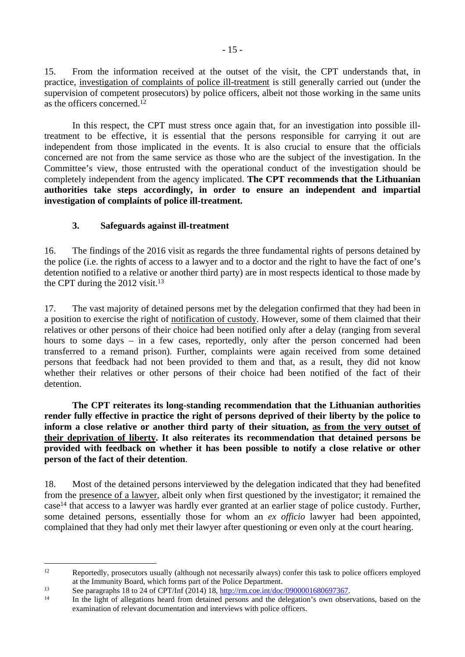15. From the information received at the outset of the visit, the CPT understands that, in practice, investigation of complaints of police ill-treatment is still generally carried out (under the supervision of competent prosecutors) by police officers, albeit not those working in the same units as the officers concerned.<sup>12</sup>

In this respect, the CPT must stress once again that, for an investigation into possible illtreatment to be effective, it is essential that the persons responsible for carrying it out are independent from those implicated in the events. It is also crucial to ensure that the officials concerned are not from the same service as those who are the subject of the investigation. In the Committee's view, those entrusted with the operational conduct of the investigation should be completely independent from the agency implicated. **The CPT recommends that the Lithuanian authorities take steps accordingly, in order to ensure an independent and impartial investigation of complaints of police ill-treatment.** 

## <span id="page-14-0"></span>**3. Safeguards against ill-treatment**

16. The findings of the 2016 visit as regards the three fundamental rights of persons detained by the police (i.e. the rights of access to a lawyer and to a doctor and the right to have the fact of one's detention notified to a relative or another third party) are in most respects identical to those made by the CPT during the  $2012$  visit.<sup>13</sup>

17. The vast majority of detained persons met by the delegation confirmed that they had been in a position to exercise the right of notification of custody. However, some of them claimed that their relatives or other persons of their choice had been notified only after a delay (ranging from several hours to some days – in a few cases, reportedly, only after the person concerned had been transferred to a remand prison). Further, complaints were again received from some detained persons that feedback had not been provided to them and that, as a result, they did not know whether their relatives or other persons of their choice had been notified of the fact of their detention.

**The CPT reiterates its long-standing recommendation that the Lithuanian authorities render fully effective in practice the right of persons deprived of their liberty by the police to inform a close relative or another third party of their situation, as from the very outset of their deprivation of liberty. It also reiterates its recommendation that detained persons be provided with feedback on whether it has been possible to notify a close relative or other person of the fact of their detention**.

18. Most of the detained persons interviewed by the delegation indicated that they had benefited from the presence of a lawyer, albeit only when first questioned by the investigator; it remained the case<sup>14</sup> that access to a lawyer was hardly ever granted at an earlier stage of police custody. Further, some detained persons, essentially those for whom an *ex officio* lawyer had been appointed, complained that they had only met their lawyer after questioning or even only at the court hearing.

<sup>&</sup>lt;sup>12</sup> Reportedly, prosecutors usually (although not necessarily always) confer this task to police officers employed at the Immunity Board, which forms part of the Police Department.

<sup>13</sup> See paragraphs 18 to 24 of CPT/Inf (2014) 18, [http://rm.coe.int/doc/0900001680697367.](http://rm.coe.int/doc/0900001680697367)

In the light of allegations heard from detained persons and the delegation's own observations, based on the examination of relevant documentation and interviews with police officers.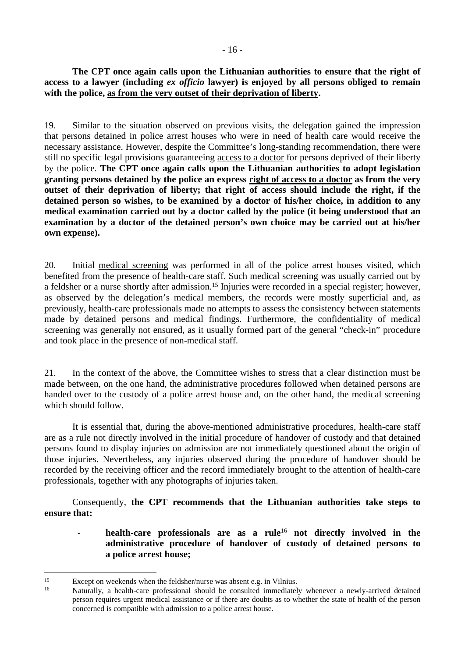### **The CPT once again calls upon the Lithuanian authorities to ensure that the right of access to a lawyer (including** *ex officio* **lawyer) is enjoyed by all persons obliged to remain with the police, as from the very outset of their deprivation of liberty.**

19. Similar to the situation observed on previous visits, the delegation gained the impression that persons detained in police arrest houses who were in need of health care would receive the necessary assistance. However, despite the Committee's long-standing recommendation, there were still no specific legal provisions guaranteeing access to a doctor for persons deprived of their liberty by the police. **The CPT once again calls upon the Lithuanian authorities to adopt legislation granting persons detained by the police an express right of access to a doctor as from the very outset of their deprivation of liberty; that right of access should include the right, if the detained person so wishes, to be examined by a doctor of his/her choice, in addition to any medical examination carried out by a doctor called by the police (it being understood that an examination by a doctor of the detained person's own choice may be carried out at his/her own expense).**

20. Initial medical screening was performed in all of the police arrest houses visited, which benefited from the presence of health-care staff. Such medical screening was usually carried out by a feldsher or a nurse shortly after admission.<sup>15</sup> Injuries were recorded in a special register; however, as observed by the delegation's medical members, the records were mostly superficial and, as previously, health-care professionals made no attempts to assess the consistency between statements made by detained persons and medical findings. Furthermore, the confidentiality of medical screening was generally not ensured, as it usually formed part of the general "check-in" procedure and took place in the presence of non-medical staff.

21. In the context of the above, the Committee wishes to stress that a clear distinction must be made between, on the one hand, the administrative procedures followed when detained persons are handed over to the custody of a police arrest house and, on the other hand, the medical screening which should follow.

It is essential that, during the above-mentioned administrative procedures, health-care staff are as a rule not directly involved in the initial procedure of handover of custody and that detained persons found to display injuries on admission are not immediately questioned about the origin of those injuries. Nevertheless, any injuries observed during the procedure of handover should be recorded by the receiving officer and the record immediately brought to the attention of health-care professionals, together with any photographs of injuries taken.

Consequently, **the CPT recommends that the Lithuanian authorities take steps to ensure that:** 

- **health-care professionals are as a rule**<sup>16</sup> **not directly involved in the administrative procedure of handover of custody of detained persons to a police arrest house;**

<sup>15</sup> Except on weekends when the feldsher/nurse was absent e.g. in Vilnius.

Naturally, a health-care professional should be consulted immediately whenever a newly-arrived detained person requires urgent medical assistance or if there are doubts as to whether the state of health of the person concerned is compatible with admission to a police arrest house.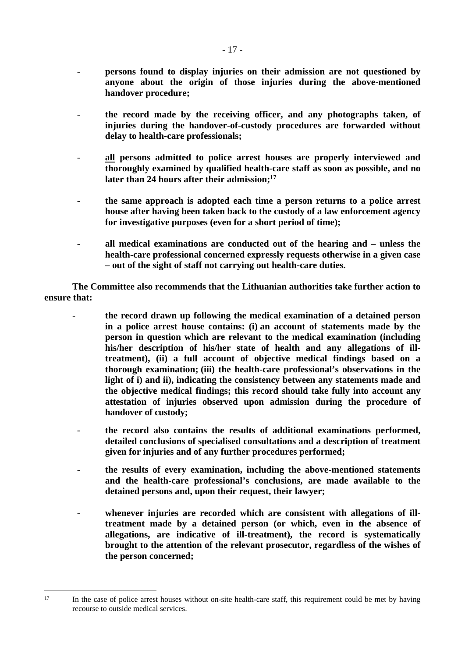- **persons found to display injuries on their admission are not questioned by anyone about the origin of those injuries during the above-mentioned handover procedure;**
- **the record made by the receiving officer, and any photographs taken, of injuries during the handover-of-custody procedures are forwarded without delay to health-care professionals;**
- **all persons admitted to police arrest houses are properly interviewed and thoroughly examined by qualified health-care staff as soon as possible, and no later than 24 hours after their admission;<sup>17</sup>**
- **the same approach is adopted each time a person returns to a police arrest house after having been taken back to the custody of a law enforcement agency for investigative purposes (even for a short period of time);**
- **all medical examinations are conducted out of the hearing and unless the health-care professional concerned expressly requests otherwise in a given case – out of the sight of staff not carrying out health-care duties.**

**The Committee also recommends that the Lithuanian authorities take further action to ensure that:**

- **the record drawn up following the medical examination of a detained person in a police arrest house contains: (i) an account of statements made by the person in question which are relevant to the medical examination (including his/her description of his/her state of health and any allegations of illtreatment), (ii) a full account of objective medical findings based on a thorough examination; (iii) the health-care professional's observations in the light of i) and ii), indicating the consistency between any statements made and the objective medical findings; this record should take fully into account any attestation of injuries observed upon admission during the procedure of handover of custody;**
- **the record also contains the results of additional examinations performed, detailed conclusions of specialised consultations and a description of treatment given for injuries and of any further procedures performed;**
- **the results of every examination, including the above-mentioned statements and the health-care professional's conclusions, are made available to the detained persons and, upon their request, their lawyer;**
- **whenever injuries are recorded which are consistent with allegations of illtreatment made by a detained person (or which, even in the absence of allegations, are indicative of ill-treatment), the record is systematically brought to the attention of the relevant prosecutor, regardless of the wishes of the person concerned;**

<sup>&</sup>lt;sup>17</sup> In the case of police arrest houses without on-site health-care staff, this requirement could be met by having recourse to outside medical services.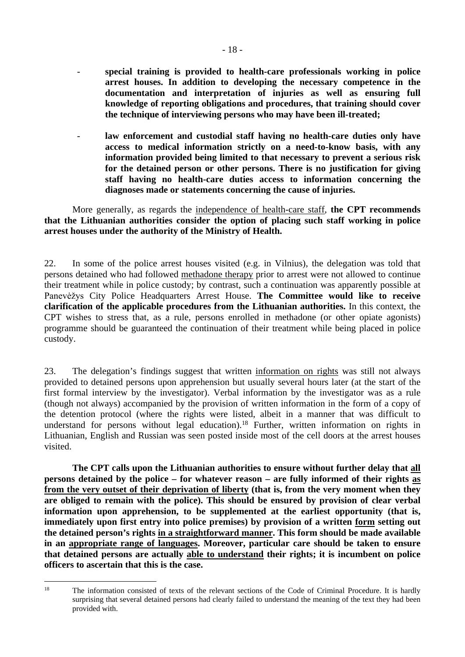- **special training is provided to health-care professionals working in police arrest houses. In addition to developing the necessary competence in the documentation and interpretation of injuries as well as ensuring full knowledge of reporting obligations and procedures, that training should cover the technique of interviewing persons who may have been ill-treated;**
- law enforcement and custodial staff having no health-care duties only have **access to medical information strictly on a need-to-know basis, with any information provided being limited to that necessary to prevent a serious risk for the detained person or other persons. There is no justification for giving staff having no health-care duties access to information concerning the diagnoses made or statements concerning the cause of injuries.**

More generally, as regards the independence of health-care staff, **the CPT recommends that the Lithuanian authorities consider the option of placing such staff working in police arrest houses under the authority of the Ministry of Health.**

22. In some of the police arrest houses visited (e.g. in Vilnius), the delegation was told that persons detained who had followed methadone therapy prior to arrest were not allowed to continue their treatment while in police custody; by contrast, such a continuation was apparently possible at Panevėžys City Police Headquarters Arrest House. **The Committee would like to receive clarification of the applicable procedures from the Lithuanian authorities.** In this context, the CPT wishes to stress that, as a rule, persons enrolled in methadone (or other opiate agonists) programme should be guaranteed the continuation of their treatment while being placed in police custody.

23. The delegation's findings suggest that written information on rights was still not always provided to detained persons upon apprehension but usually several hours later (at the start of the first formal interview by the investigator). Verbal information by the investigator was as a rule (though not always) accompanied by the provision of written information in the form of a copy of the detention protocol (where the rights were listed, albeit in a manner that was difficult to understand for persons without legal education).<sup>18</sup> Further, written information on rights in Lithuanian, English and Russian was seen posted inside most of the cell doors at the arrest houses visited.

**The CPT calls upon the Lithuanian authorities to ensure without further delay that all persons detained by the police – for whatever reason – are fully informed of their rights as from the very outset of their deprivation of liberty (that is, from the very moment when they are obliged to remain with the police). This should be ensured by provision of clear verbal information upon apprehension, to be supplemented at the earliest opportunity (that is, immediately upon first entry into police premises) by provision of a written form setting out the detained person's rights in a straightforward manner. This form should be made available in an appropriate range of languages. Moreover, particular care should be taken to ensure that detained persons are actually able to understand their rights; it is incumbent on police officers to ascertain that this is the case.**

<sup>&</sup>lt;sup>18</sup> The information consisted of texts of the relevant sections of the Code of Criminal Procedure. It is hardly surprising that several detained persons had clearly failed to understand the meaning of the text they had been provided with.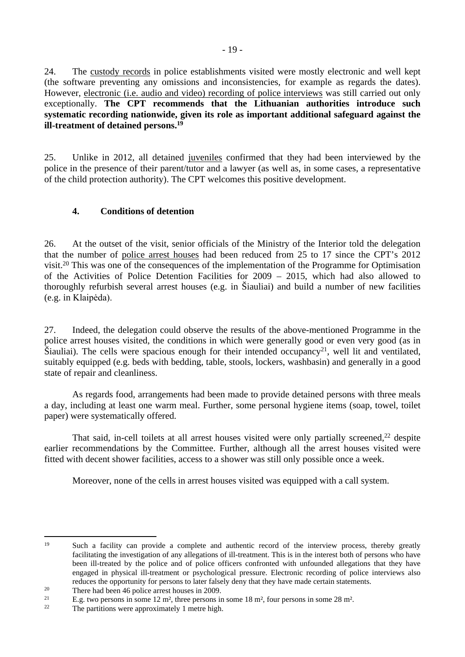24. The custody records in police establishments visited were mostly electronic and well kept (the software preventing any omissions and inconsistencies, for example as regards the dates). However, electronic (i.e. audio and video) recording of police interviews was still carried out only exceptionally. **The CPT recommends that the Lithuanian authorities introduce such systematic recording nationwide, given its role as important additional safeguard against the ill-treatment of detained persons.<sup>19</sup>**

25. Unlike in 2012, all detained juveniles confirmed that they had been interviewed by the police in the presence of their parent/tutor and a lawyer (as well as, in some cases, a representative of the child protection authority). The CPT welcomes this positive development.

# <span id="page-18-0"></span>**4. Conditions of detention**

26. At the outset of the visit, senior officials of the Ministry of the Interior told the delegation that the number of police arrest houses had been reduced from 25 to 17 since the CPT's 2012 visit.<sup>20</sup> This was one of the consequences of the implementation of the Programme for Optimisation of the Activities of Police Detention Facilities for 2009 – 2015, which had also allowed to thoroughly refurbish several arrest houses (e.g. in Šiauliai) and build a number of new facilities (e.g. in Klaipėda).

27. Indeed, the delegation could observe the results of the above-mentioned Programme in the police arrest houses visited, the conditions in which were generally good or even very good (as in  $\text{Šiauliai}$ ). The cells were spacious enough for their intended occupancy<sup>21</sup>, well lit and ventilated, suitably equipped (e.g. beds with bedding, table, stools, lockers, washbasin) and generally in a good state of repair and cleanliness.

As regards food, arrangements had been made to provide detained persons with three meals a day, including at least one warm meal. Further, some personal hygiene items (soap, towel, toilet paper) were systematically offered.

That said, in-cell toilets at all arrest houses visited were only partially screened,<sup>22</sup> despite earlier recommendations by the Committee. Further, although all the arrest houses visited were fitted with decent shower facilities, access to a shower was still only possible once a week.

Moreover, none of the cells in arrest houses visited was equipped with a call system.

<sup>&</sup>lt;sup>19</sup> Such a facility can provide a complete and authentic record of the interview process, thereby greatly facilitating the investigation of any allegations of ill-treatment. This is in the interest both of persons who have been ill-treated by the police and of police officers confronted with unfounded allegations that they have engaged in physical ill-treatment or psychological pressure. Electronic recording of police interviews also reduces the opportunity for persons to later falsely deny that they have made certain statements.

<sup>&</sup>lt;sup>20</sup> There had been 46 police arrest houses in 2009.

<sup>&</sup>lt;sup>21</sup> E.g. two persons in some  $12 \text{ m}^2$ , three persons in some  $18 \text{ m}^2$ , four persons in some  $28 \text{ m}^2$ .<br><sup>22</sup> The pertitions were enproximately 1 metre high

The partitions were approximately 1 metre high.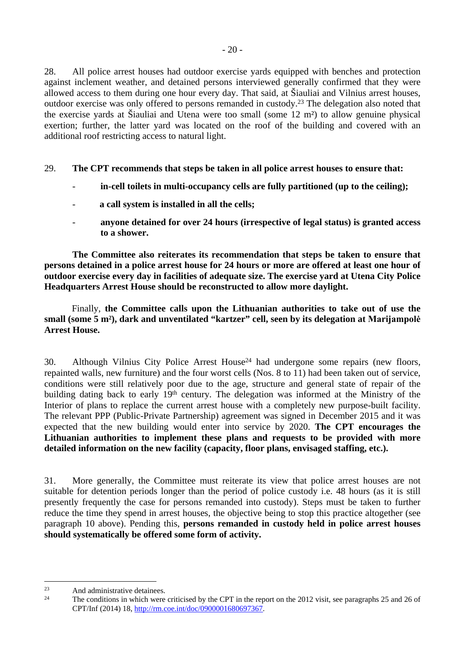28. All police arrest houses had outdoor exercise yards equipped with benches and protection against inclement weather, and detained persons interviewed generally confirmed that they were allowed access to them during one hour every day. That said, at Šiauliai and Vilnius arrest houses, outdoor exercise was only offered to persons remanded in custody.<sup>23</sup> The delegation also noted that the exercise yards at Šiauliai and Utena were too small (some 12 m²) to allow genuine physical exertion; further, the latter yard was located on the roof of the building and covered with an additional roof restricting access to natural light.

29. **The CPT recommends that steps be taken in all police arrest houses to ensure that:**

- in-cell toilets in multi-occupancy cells are fully partitioned (up to the ceiling);
- **a call system is installed in all the cells;**
- **anyone detained for over 24 hours (irrespective of legal status) is granted access to a shower.**

**The Committee also reiterates its recommendation that steps be taken to ensure that persons detained in a police arrest house for 24 hours or more are offered at least one hour of outdoor exercise every day in facilities of adequate size. The exercise yard at Utena City Police Headquarters Arrest House should be reconstructed to allow more daylight.**

Finally, **the Committee calls upon the Lithuanian authorities to take out of use the small (some 5 m²), dark and unventilated "kartzer" cell, seen by its delegation at Marijampolė Arrest House.**

30. Although Vilnius City Police Arrest House<sup>24</sup> had undergone some repairs (new floors, repainted walls, new furniture) and the four worst cells (Nos. 8 to 11) had been taken out of service, conditions were still relatively poor due to the age, structure and general state of repair of the building dating back to early 19<sup>th</sup> century. The delegation was informed at the Ministry of the Interior of plans to replace the current arrest house with a completely new purpose-built facility. The relevant PPP (Public-Private Partnership) agreement was signed in December 2015 and it was expected that the new building would enter into service by 2020. **The CPT encourages the Lithuanian authorities to implement these plans and requests to be provided with more detailed information on the new facility (capacity, floor plans, envisaged staffing, etc.).**

31. More generally, the Committee must reiterate its view that police arrest houses are not suitable for detention periods longer than the period of police custody i.e. 48 hours (as it is still presently frequently the case for persons remanded into custody). Steps must be taken to further reduce the time they spend in arrest houses, the objective being to stop this practice altogether (see paragraph 10 above). Pending this, **persons remanded in custody held in police arrest houses should systematically be offered some form of activity.**

<sup>&</sup>lt;sup>23</sup> And administrative detainees.<br><sup>24</sup> The conditions in which were

The conditions in which were criticised by the CPT in the report on the 2012 visit, see paragraphs 25 and 26 of CPT/Inf (2014) 18, [http://rm.coe.int/doc/0900001680697367.](http://rm.coe.int/doc/0900001680697367)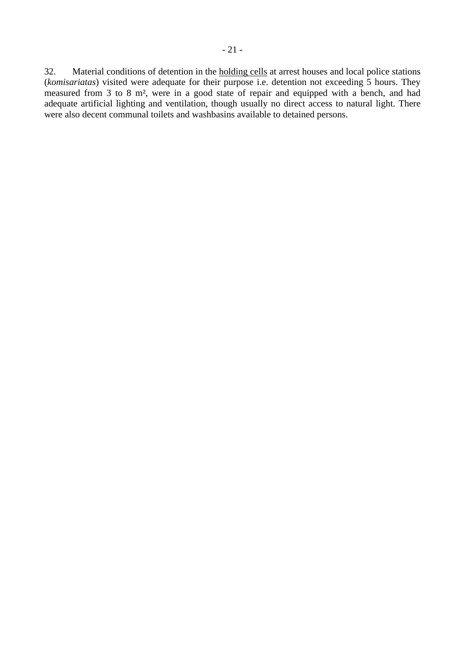32. Material conditions of detention in the holding cells at arrest houses and local police stations (*komisariatas*) visited were adequate for their purpose i.e. detention not exceeding 5 hours. They measured from 3 to 8 m², were in a good state of repair and equipped with a bench, and had adequate artificial lighting and ventilation, though usually no direct access to natural light. There were also decent communal toilets and washbasins available to detained persons.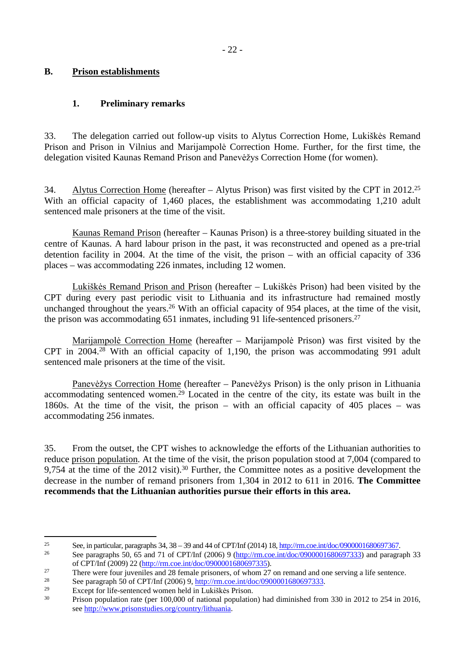## <span id="page-21-0"></span>**B. Prison establishments**

## <span id="page-21-1"></span>**1. Preliminary remarks**

33. The delegation carried out follow-up visits to Alytus Correction Home, Lukiškės Remand Prison and Prison in Vilnius and Marijampolė Correction Home. Further, for the first time, the delegation visited Kaunas Remand Prison and Panevėžys Correction Home (for women).

34. Alytus Correction Home (hereafter – Alytus Prison) was first visited by the CPT in 2012.<sup>25</sup> With an official capacity of 1,460 places, the establishment was accommodating 1,210 adult sentenced male prisoners at the time of the visit.

Kaunas Remand Prison (hereafter – Kaunas Prison) is a three-storey building situated in the centre of Kaunas. A hard labour prison in the past, it was reconstructed and opened as a pre-trial detention facility in 2004. At the time of the visit, the prison – with an official capacity of 336 places – was accommodating 226 inmates, including 12 women.

Lukiškės Remand Prison and Prison (hereafter – Lukiškės Prison) had been visited by the CPT during every past periodic visit to Lithuania and its infrastructure had remained mostly unchanged throughout the years.<sup>26</sup> With an official capacity of 954 places, at the time of the visit, the prison was accommodating 651 inmates, including 91 life-sentenced prisoners.<sup>27</sup>

Marijampolė Correction Home (hereafter – Marijampolė Prison) was first visited by the CPT in 2004.<sup>28</sup> With an official capacity of 1,190, the prison was accommodating 991 adult sentenced male prisoners at the time of the visit.

Panevėžys Correction Home (hereafter – Panevėžys Prison) is the only prison in Lithuania accommodating sentenced women.<sup>29</sup> Located in the centre of the city, its estate was built in the 1860s. At the time of the visit, the prison – with an official capacity of 405 places – was accommodating 256 inmates.

35. From the outset, the CPT wishes to acknowledge the efforts of the Lithuanian authorities to reduce prison population. At the time of the visit, the prison population stood at 7,004 (compared to 9,754 at the time of the 2012 visit).<sup>30</sup> Further, the Committee notes as a positive development the decrease in the number of remand prisoners from 1,304 in 2012 to 611 in 2016. **The Committee recommends that the Lithuanian authorities pursue their efforts in this area.** 

<sup>25</sup> See, in particular, paragraphs 34, 38 – 39 and 44 of CPT/Inf (2014) 18, [http://rm.coe.int/doc/0900001680697367.](http://rm.coe.int/doc/0900001680697367)

<sup>26</sup> See paragraphs 50, 65 and 71 of CPT/Inf (2006) 9 [\(http://rm.coe.int/doc/0900001680697333\)](http://rm.coe.int/doc/0900001680697333) and paragraph 33 of CPT/Inf (2009) 22 (<http://rm.coe.int/doc/0900001680697335>).

<sup>&</sup>lt;sup>27</sup> There were four juveniles and 28 female prisoners, of whom 27 on remand and one serving a life sentence.

<sup>&</sup>lt;sup>28</sup> See paragraph 50 of CPT/Inf (2006) 9,  $\frac{http://rm.co.int/doc/0900001680697333}{Et/29}$ .

<sup>29</sup> Except for life-sentenced women held in Lukiškės Prison.

<sup>30</sup> Prison population rate (per 100,000 of national population) had diminished from 330 in 2012 to 254 in 2016, see [http://www.prisonstudies.org/country/lithuania.](http://www.prisonstudies.org/country/lithuania)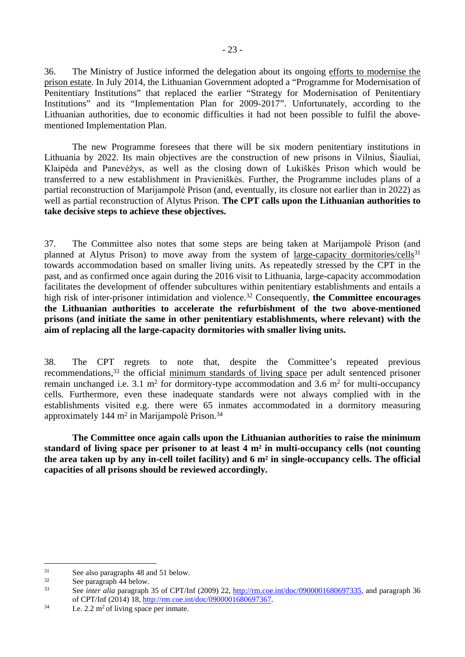36. The Ministry of Justice informed the delegation about its ongoing efforts to modernise the prison estate. In July 2014, the Lithuanian Government adopted a "Programme for Modernisation of Penitentiary Institutions" that replaced the earlier "Strategy for Modernisation of Penitentiary Institutions" and its "Implementation Plan for 2009-2017". Unfortunately, according to the Lithuanian authorities, due to economic difficulties it had not been possible to fulfil the abovementioned Implementation Plan.

The new Programme foresees that there will be six modern penitentiary institutions in Lithuania by 2022. Its main objectives are the construction of new prisons in Vilnius, Šiauliai, Klaipėda and Panevėžys, as well as the closing down of Lukiškės Prison which would be transferred to a new establishment in Pravieniškės. Further, the Programme includes plans of a partial reconstruction of Marijampolė Prison (and, eventually, its closure not earlier than in 2022) as well as partial reconstruction of Alytus Prison. **The CPT calls upon the Lithuanian authorities to take decisive steps to achieve these objectives.**

37. The Committee also notes that some steps are being taken at Marijampolė Prison (and planned at Alytus Prison) to move away from the system of large-capacity dormitories/cells<sup>31</sup> towards accommodation based on smaller living units. As repeatedly stressed by the CPT in the past, and as confirmed once again during the 2016 visit to Lithuania, large-capacity accommodation facilitates the development of offender subcultures within penitentiary establishments and entails a high risk of inter-prisoner intimidation and violence.<sup>32</sup> Consequently, the Committee encourages **the Lithuanian authorities to accelerate the refurbishment of the two above-mentioned prisons (and initiate the same in other penitentiary establishments, where relevant) with the aim of replacing all the large-capacity dormitories with smaller living units.**

38. The CPT regrets to note that, despite the Committee's repeated previous recommendations,<sup>33</sup> the official minimum standards of living space per adult sentenced prisoner remain unchanged i.e. 3.1  $m^2$  for dormitory-type accommodation and 3.6  $m^2$  for multi-occupancy cells. Furthermore, even these inadequate standards were not always complied with in the establishments visited e.g. there were 65 inmates accommodated in a dormitory measuring approximately 144 m<sup>2</sup> in Marijampolė Prison.<sup>34</sup>

**The Committee once again calls upon the Lithuanian authorities to raise the minimum standard of living space per prisoner to at least 4 m² in multi-occupancy cells (not counting the area taken up by any in-cell toilet facility) and 6 m² in single-occupancy cells. The official capacities of all prisons should be reviewed accordingly.**

 $31$  See also paragraphs 48 and 51 below.

 $32$  See paragraph 44 below.

See *inter alia* paragraph 35 of CPT/Inf (2009) 22, [http://rm.coe.int/doc/0900001680697335,](http://rm.coe.int/doc/0900001680697335) and paragraph 36 of CPT/Inf (2014) 18, <http://rm.coe.int/doc/0900001680697367>.

 $34$  I.e. 2.2 m<sup>2</sup> of living space per inmate.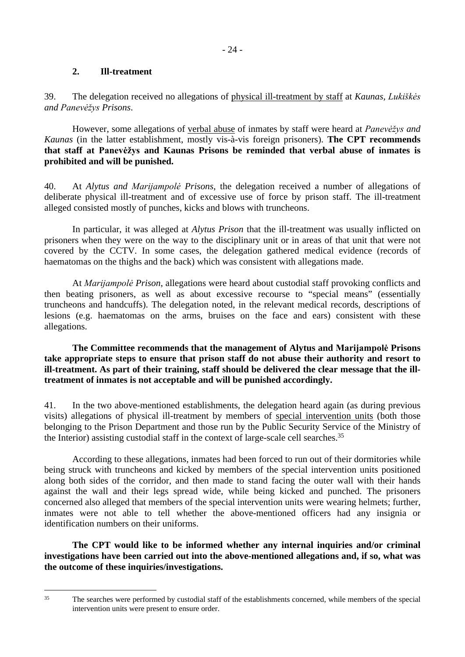## <span id="page-23-0"></span>**2. Ill-treatment**

39. The delegation received no allegations of physical ill-treatment by staff at *Kaunas, Lukiškės and Panevėžys Prisons*.

However, some allegations of verbal abuse of inmates by staff were heard at *Panevėžys and Kaunas* (in the latter establishment, mostly vis-à-vis foreign prisoners). **The CPT recommends that staff at Panevėžys and Kaunas Prisons be reminded that verbal abuse of inmates is prohibited and will be punished.** 

40. At *Alytus and Marijampolė Prisons*, the delegation received a number of allegations of deliberate physical ill-treatment and of excessive use of force by prison staff. The ill-treatment alleged consisted mostly of punches, kicks and blows with truncheons.

In particular, it was alleged at *Alytus Prison* that the ill-treatment was usually inflicted on prisoners when they were on the way to the disciplinary unit or in areas of that unit that were not covered by the CCTV. In some cases, the delegation gathered medical evidence (records of haematomas on the thighs and the back) which was consistent with allegations made.

At *Marijampolė Prison*, allegations were heard about custodial staff provoking conflicts and then beating prisoners, as well as about excessive recourse to "special means" (essentially truncheons and handcuffs). The delegation noted, in the relevant medical records, descriptions of lesions (e.g. haematomas on the arms, bruises on the face and ears) consistent with these allegations.

**The Committee recommends that the management of Alytus and Marijampolė Prisons take appropriate steps to ensure that prison staff do not abuse their authority and resort to ill-treatment. As part of their training, staff should be delivered the clear message that the illtreatment of inmates is not acceptable and will be punished accordingly.** 

41. In the two above-mentioned establishments, the delegation heard again (as during previous visits) allegations of physical ill-treatment by members of special intervention units (both those belonging to the Prison Department and those run by the Public Security Service of the Ministry of the Interior) assisting custodial staff in the context of large-scale cell searches.<sup>35</sup>

According to these allegations, inmates had been forced to run out of their dormitories while being struck with truncheons and kicked by members of the special intervention units positioned along both sides of the corridor, and then made to stand facing the outer wall with their hands against the wall and their legs spread wide, while being kicked and punched. The prisoners concerned also alleged that members of the special intervention units were wearing helmets; further, inmates were not able to tell whether the above-mentioned officers had any insignia or identification numbers on their uniforms.

**The CPT would like to be informed whether any internal inquiries and/or criminal investigations have been carried out into the above-mentioned allegations and, if so, what was the outcome of these inquiries/investigations.**

<sup>&</sup>lt;sup>35</sup> The searches were performed by custodial staff of the establishments concerned, while members of the special intervention units were present to ensure order.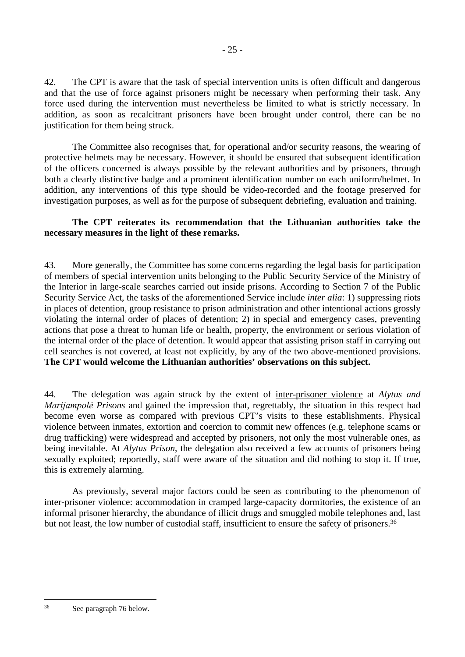42. The CPT is aware that the task of special intervention units is often difficult and dangerous and that the use of force against prisoners might be necessary when performing their task. Any force used during the intervention must nevertheless be limited to what is strictly necessary. In addition, as soon as recalcitrant prisoners have been brought under control, there can be no justification for them being struck.

The Committee also recognises that, for operational and/or security reasons, the wearing of protective helmets may be necessary. However, it should be ensured that subsequent identification of the officers concerned is always possible by the relevant authorities and by prisoners, through both a clearly distinctive badge and a prominent identification number on each uniform/helmet. In addition, any interventions of this type should be video-recorded and the footage preserved for investigation purposes, as well as for the purpose of subsequent debriefing, evaluation and training.

### **The CPT reiterates its recommendation that the Lithuanian authorities take the necessary measures in the light of these remarks.**

43. More generally, the Committee has some concerns regarding the legal basis for participation of members of special intervention units belonging to the Public Security Service of the Ministry of the Interior in large-scale searches carried out inside prisons. According to Section 7 of the Public Security Service Act, the tasks of the aforementioned Service include *inter alia*: 1) suppressing riots in places of detention, group resistance to prison administration and other intentional actions grossly violating the internal order of places of detention; 2) in special and emergency cases, preventing actions that pose a threat to human life or health, property, the environment or serious violation of the internal order of the place of detention. It would appear that assisting prison staff in carrying out cell searches is not covered, at least not explicitly, by any of the two above-mentioned provisions. **The CPT would welcome the Lithuanian authorities' observations on this subject.** 

44. The delegation was again struck by the extent of inter-prisoner violence at *Alytus and Marijampolė Prisons* and gained the impression that, regrettably, the situation in this respect had become even worse as compared with previous CPT's visits to these establishments. Physical violence between inmates, extortion and coercion to commit new offences (e.g. telephone scams or drug trafficking) were widespread and accepted by prisoners, not only the most vulnerable ones, as being inevitable. At *Alytus Prison*, the delegation also received a few accounts of prisoners being sexually exploited; reportedly, staff were aware of the situation and did nothing to stop it. If true, this is extremely alarming.

As previously, several major factors could be seen as contributing to the phenomenon of inter-prisoner violence: accommodation in cramped large-capacity dormitories, the existence of an informal prisoner hierarchy, the abundance of illicit drugs and smuggled mobile telephones and, last but not least, the low number of custodial staff, insufficient to ensure the safety of prisoners.<sup>36</sup>

<sup>36</sup> See paragraph 76 below.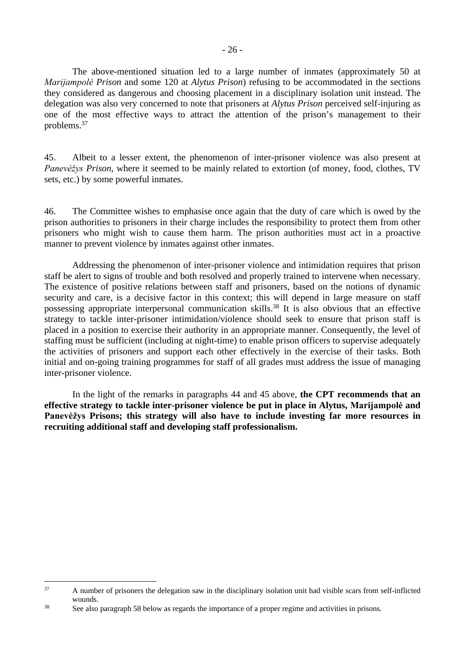The above-mentioned situation led to a large number of inmates (approximately 50 at *Marijampolė Prison* and some 120 at *Alytus Prison*) refusing to be accommodated in the sections they considered as dangerous and choosing placement in a disciplinary isolation unit instead. The delegation was also very concerned to note that prisoners at *Alytus Prison* perceived self-injuring as one of the most effective ways to attract the attention of the prison's management to their problems.<sup>37</sup>

45. Albeit to a lesser extent, the phenomenon of inter-prisoner violence was also present at *Panevėžys Prison*, where it seemed to be mainly related to extortion (of money, food, clothes, TV sets, etc.) by some powerful inmates.

46. The Committee wishes to emphasise once again that the duty of care which is owed by the prison authorities to prisoners in their charge includes the responsibility to protect them from other prisoners who might wish to cause them harm. The prison authorities must act in a proactive manner to prevent violence by inmates against other inmates.

Addressing the phenomenon of inter-prisoner violence and intimidation requires that prison staff be alert to signs of trouble and both resolved and properly trained to intervene when necessary. The existence of positive relations between staff and prisoners, based on the notions of dynamic security and care, is a decisive factor in this context; this will depend in large measure on staff possessing appropriate interpersonal communication skills.<sup>38</sup> It is also obvious that an effective strategy to tackle inter-prisoner intimidation/violence should seek to ensure that prison staff is placed in a position to exercise their authority in an appropriate manner. Consequently, the level of staffing must be sufficient (including at night-time) to enable prison officers to supervise adequately the activities of prisoners and support each other effectively in the exercise of their tasks. Both initial and on-going training programmes for staff of all grades must address the issue of managing inter-prisoner violence.

In the light of the remarks in paragraphs 44 and 45 above, the CPT recommends that an **effective strategy to tackle inter-prisoner violence be put in place in Alytus, Marijampolė and Panevėžys Prisons; this strategy will also have to include investing far more resources in recruiting additional staff and developing staff professionalism.**

<sup>&</sup>lt;sup>37</sup> A number of prisoners the delegation saw in the disciplinary isolation unit had visible scars from self-inflicted wounds.

<sup>38</sup> See also paragraph 58 below as regards the importance of a proper regime and activities in prisons.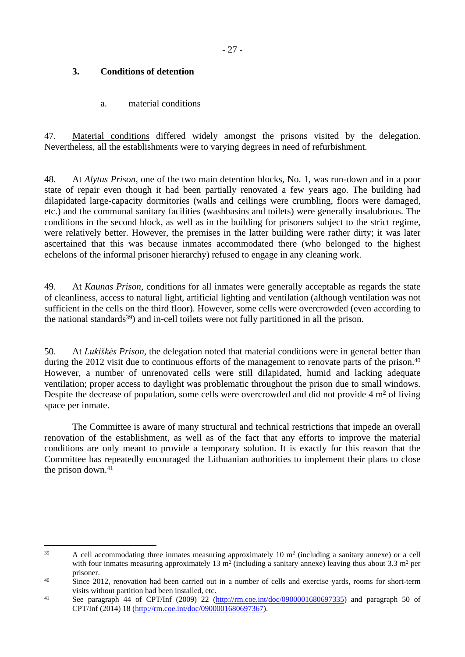## <span id="page-26-0"></span>**3. Conditions of detention**

<span id="page-26-1"></span>a. material conditions

47. Material conditions differed widely amongst the prisons visited by the delegation. Nevertheless, all the establishments were to varying degrees in need of refurbishment.

48. At *Alytus Prison*, one of the two main detention blocks, No. 1, was run-down and in a poor state of repair even though it had been partially renovated a few years ago. The building had dilapidated large-capacity dormitories (walls and ceilings were crumbling, floors were damaged, etc.) and the communal sanitary facilities (washbasins and toilets) were generally insalubrious. The conditions in the second block, as well as in the building for prisoners subject to the strict regime, were relatively better. However, the premises in the latter building were rather dirty; it was later ascertained that this was because inmates accommodated there (who belonged to the highest echelons of the informal prisoner hierarchy) refused to engage in any cleaning work.

49. At *Kaunas Prison*, conditions for all inmates were generally acceptable as regards the state of cleanliness, access to natural light, artificial lighting and ventilation (although ventilation was not sufficient in the cells on the third floor). However, some cells were overcrowded (even according to the national standards<sup>39</sup>) and in-cell toilets were not fully partitioned in all the prison.

50. At *Lukiškės Prison,* the delegation noted that material conditions were in general better than during the 2012 visit due to continuous efforts of the management to renovate parts of the prison.<sup>40</sup> However, a number of unrenovated cells were still dilapidated, humid and lacking adequate ventilation; proper access to daylight was problematic throughout the prison due to small windows. Despite the decrease of population, some cells were overcrowded and did not provide 4 m<sup>2</sup> of living space per inmate.

The Committee is aware of many structural and technical restrictions that impede an overall renovation of the establishment, as well as of the fact that any efforts to improve the material conditions are only meant to provide a temporary solution. It is exactly for this reason that the Committee has repeatedly encouraged the Lithuanian authorities to implement their plans to close the prison down. $41$ 

 $39$  A cell accommodating three inmates measuring approximately 10 m<sup>2</sup> (including a sanitary annexe) or a cell with four inmates measuring approximately 13  $m<sup>2</sup>$  (including a sanitary annexe) leaving thus about 3.3  $m<sup>2</sup>$  per prisoner.

<sup>&</sup>lt;sup>40</sup> Since 2012, renovation had been carried out in a number of cells and exercise yards, rooms for short-term visits without partition had been installed, etc.

<sup>41</sup> See paragraph 44 of CPT/Inf (2009) 22 [\(http://rm.coe.int/doc/0900001680697335\)](http://rm.coe.int/doc/0900001680697335) and paragraph 50 of CPT/Inf (2014) 18 (<http://rm.coe.int/doc/0900001680697367>).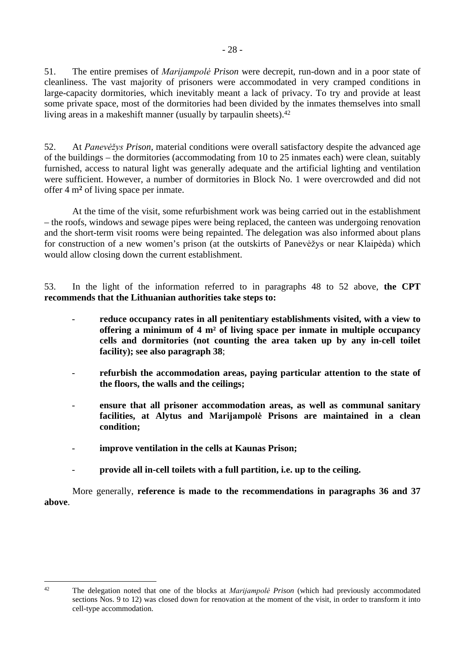51. The entire premises of *Marijampolė Prison* were decrepit, run-down and in a poor state of cleanliness. The vast majority of prisoners were accommodated in very cramped conditions in large-capacity dormitories, which inevitably meant a lack of privacy. To try and provide at least some private space, most of the dormitories had been divided by the inmates themselves into small living areas in a makeshift manner (usually by tarpaulin sheets).<sup>42</sup>

52. At *Panevėžys Prison*, material conditions were overall satisfactory despite the advanced age of the buildings – the dormitories (accommodating from 10 to 25 inmates each) were clean, suitably furnished, access to natural light was generally adequate and the artificial lighting and ventilation were sufficient. However, a number of dormitories in Block No. 1 were overcrowded and did not offer 4 m**<sup>2</sup>** of living space per inmate.

At the time of the visit, some refurbishment work was being carried out in the establishment – the roofs, windows and sewage pipes were being replaced, the canteen was undergoing renovation and the short-term visit rooms were being repainted. The delegation was also informed about plans for construction of a new women's prison (at the outskirts of Panevėžys or near Klaipėda) which would allow closing down the current establishment.

53. In the light of the information referred to in paragraphs 48 to 52 above, **the CPT recommends that the Lithuanian authorities take steps to:**

- reduce occupancy rates in all penitentiary establishments visited, with a view to **offering a minimum of 4 m² of living space per inmate in multiple occupancy cells and dormitories (not counting the area taken up by any in-cell toilet facility); see also paragraph 38**;
- **refurbish the accommodation areas, paying particular attention to the state of the floors, the walls and the ceilings;**
- **ensure that all prisoner accommodation areas, as well as communal sanitary facilities, at Alytus and Marijampolė Prisons are maintained in a clean condition;**
- improve ventilation in the cells at Kaunas Prison;
- **provide all in-cell toilets with a full partition, i.e. up to the ceiling.**

More generally, **reference is made to the recommendations in paragraphs 36 and 37 above**.

<sup>42</sup> The delegation noted that one of the blocks at *Marijampolė Prison* (which had previously accommodated sections Nos. 9 to 12) was closed down for renovation at the moment of the visit, in order to transform it into cell-type accommodation.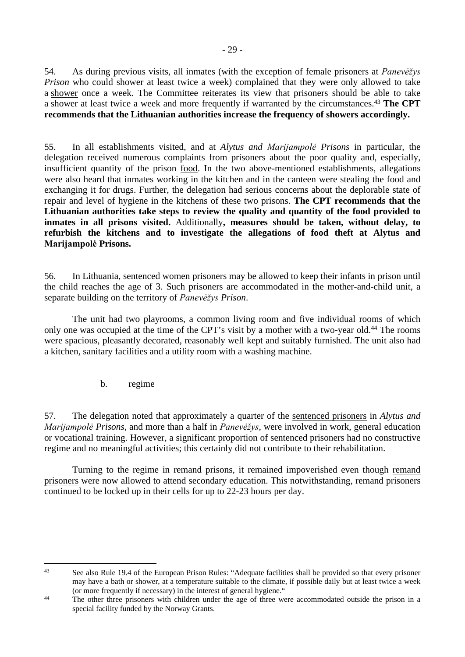54. As during previous visits, all inmates (with the exception of female prisoners at *Panevėžys Prison* who could shower at least twice a week) complained that they were only allowed to take a shower once a week. The Committee reiterates its view that prisoners should be able to take a shower at least twice a week and more frequently if warranted by the circumstances.<sup>43</sup> **The CPT recommends that the Lithuanian authorities increase the frequency of showers accordingly.**

55. In all establishments visited, and at *Alytus and Marijampolė Prisons* in particular*,* the delegation received numerous complaints from prisoners about the poor quality and, especially, insufficient quantity of the prison food. In the two above-mentioned establishments, allegations were also heard that inmates working in the kitchen and in the canteen were stealing the food and exchanging it for drugs. Further, the delegation had serious concerns about the deplorable state of repair and level of hygiene in the kitchens of these two prisons. **The CPT recommends that the Lithuanian authorities take steps to review the quality and quantity of the food provided to inmates in all prisons visited.** Additionally**, measures should be taken, without delay, to refurbish the kitchens and to investigate the allegations of food theft at Alytus and Marijampolė Prisons.** 

56. In Lithuania, sentenced women prisoners may be allowed to keep their infants in prison until the child reaches the age of 3. Such prisoners are accommodated in the mother-and-child unit, a separate building on the territory of *Panevėžys Prison*.

The unit had two playrooms, a common living room and five individual rooms of which only one was occupied at the time of the CPT's visit by a mother with a two-year old.<sup>44</sup> The rooms were spacious, pleasantly decorated, reasonably well kept and suitably furnished. The unit also had a kitchen, sanitary facilities and a utility room with a washing machine.

<span id="page-28-0"></span>b. regime

57. The delegation noted that approximately a quarter of the sentenced prisoners in *Alytus and Marijampolė Prisons*, and more than a half in *Panevėžys*, were involved in work, general education or vocational training. However, a significant proportion of sentenced prisoners had no constructive regime and no meaningful activities; this certainly did not contribute to their rehabilitation.

Turning to the regime in remand prisons, it remained impoverished even though remand prisoners were now allowed to attend secondary education. This notwithstanding, remand prisoners continued to be locked up in their cells for up to 22-23 hours per day.

<sup>&</sup>lt;sup>43</sup> See also Rule 19.4 of the European Prison Rules: "Adequate facilities shall be provided so that every prisoner may have a bath or shower, at a temperature suitable to the climate, if possible daily but at least twice a week (or more frequently if necessary) in the interest of general hygiene."

<sup>&</sup>lt;sup>44</sup> The other three prisoners with children under the age of three were accommodated outside the prison in a special facility funded by the Norway Grants.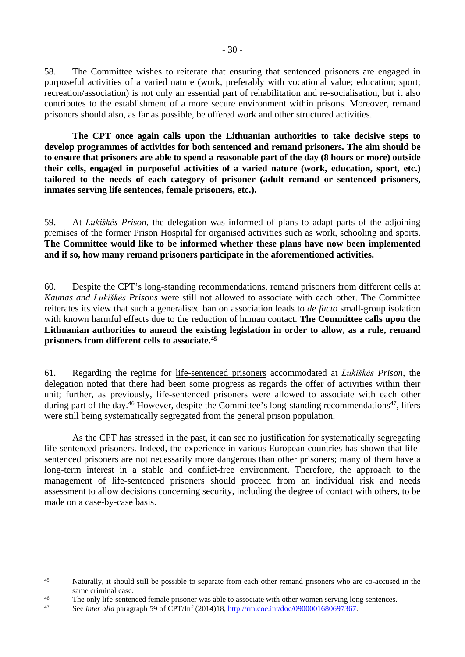58. The Committee wishes to reiterate that ensuring that sentenced prisoners are engaged in purposeful activities of a varied nature (work, preferably with vocational value; education; sport; recreation/association) is not only an essential part of rehabilitation and re-socialisation, but it also contributes to the establishment of a more secure environment within prisons. Moreover, remand prisoners should also, as far as possible, be offered work and other structured activities.

**The CPT once again calls upon the Lithuanian authorities to take decisive steps to develop programmes of activities for both sentenced and remand prisoners. The aim should be to ensure that prisoners are able to spend a reasonable part of the day (8 hours or more) outside their cells, engaged in purposeful activities of a varied nature (work, education, sport, etc.) tailored to the needs of each category of prisoner (adult remand or sentenced prisoners, inmates serving life sentences, female prisoners, etc.).**

59. At *Lukiškės Prison*, the delegation was informed of plans to adapt parts of the adjoining premises of the former Prison Hospital for organised activities such as work, schooling and sports. **The Committee would like to be informed whether these plans have now been implemented and if so, how many remand prisoners participate in the aforementioned activities.**

60. Despite the CPT's long-standing recommendations, remand prisoners from different cells at *Kaunas and Lukiškės Prisons* were still not allowed to associate with each other. The Committee reiterates its view that such a generalised ban on association leads to *de facto* small-group isolation with known harmful effects due to the reduction of human contact. **The Committee calls upon the Lithuanian authorities to amend the existing legislation in order to allow, as a rule, remand prisoners from different cells to associate.<sup>45</sup>**

61. Regarding the regime for life-sentenced prisoners accommodated at *Lukiškės Prison*, the delegation noted that there had been some progress as regards the offer of activities within their unit; further, as previously, life-sentenced prisoners were allowed to associate with each other during part of the day.<sup>46</sup> However, despite the Committee's long-standing recommendations<sup>47</sup>, lifers were still being systematically segregated from the general prison population.

As the CPT has stressed in the past, it can see no justification for systematically segregating life-sentenced prisoners. Indeed, the experience in various European countries has shown that lifesentenced prisoners are not necessarily more dangerous than other prisoners; many of them have a long-term interest in a stable and conflict-free environment. Therefore, the approach to the management of life-sentenced prisoners should proceed from an individual risk and needs assessment to allow decisions concerning security, including the degree of contact with others, to be made on a case-by-case basis.

<sup>&</sup>lt;sup>45</sup> Naturally, it should still be possible to separate from each other remand prisoners who are co-accused in the same criminal case.

<sup>&</sup>lt;sup>46</sup> The only life-sentenced female prisoner was able to associate with other women serving long sentences.<br><sup>47</sup> See inter glig personant 50 of CPT/Inf (2014)18, http://rm.geo.int/deg/0000001680607367.

<sup>47</sup> See *inter alia* paragraph 59 of CPT/Inf (2014)18, <http://rm.coe.int/doc/0900001680697367>.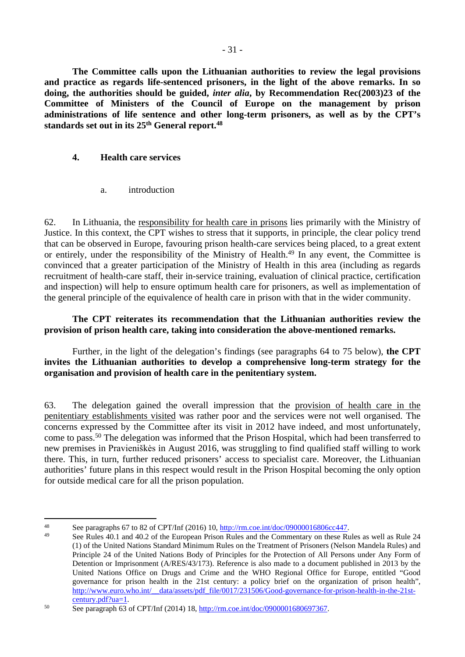**The Committee calls upon the Lithuanian authorities to review the legal provisions and practice as regards life-sentenced prisoners, in the light of the above remarks. In so doing, the authorities should be guided,** *inter alia***, by Recommendation Rec(2003)23 of the Committee of Ministers of the Council of Europe on the management by prison administrations of life sentence and other long-term prisoners, as well as by the CPT's standards set out in its 25th General report.<sup>48</sup>**

## <span id="page-30-0"></span>**4. Health care services**

<span id="page-30-1"></span>a. introduction

62. In Lithuania, the responsibility for health care in prisons lies primarily with the Ministry of Justice. In this context, the CPT wishes to stress that it supports, in principle, the clear policy trend that can be observed in Europe, favouring prison health-care services being placed, to a great extent or entirely, under the responsibility of the Ministry of Health.<sup>49</sup> In any event, the Committee is convinced that a greater participation of the Ministry of Health in this area (including as regards recruitment of health-care staff, their in-service training, evaluation of clinical practice, certification and inspection) will help to ensure optimum health care for prisoners, as well as implementation of the general principle of the equivalence of health care in prison with that in the wider community.

**The CPT reiterates its recommendation that the Lithuanian authorities review the provision of prison health care, taking into consideration the above-mentioned remarks.** 

Further, in the light of the delegation's findings (see paragraphs 64 to 75 below), **the CPT invites the Lithuanian authorities to develop a comprehensive long-term strategy for the organisation and provision of health care in the penitentiary system.**

63. The delegation gained the overall impression that the provision of health care in the penitentiary establishments visited was rather poor and the services were not well organised. The concerns expressed by the Committee after its visit in 2012 have indeed, and most unfortunately, come to pass.<sup>50</sup> The delegation was informed that the Prison Hospital, which had been transferred to new premises in Pravieniškės in August 2016, was struggling to find qualified staff willing to work there. This, in turn, further reduced prisoners' access to specialist care. Moreover, the Lithuanian authorities' future plans in this respect would result in the Prison Hospital becoming the only option for outside medical care for all the prison population.

<sup>48</sup> See paragraphs 67 to 82 of CPT/Inf (2016) 10, [http://rm.coe.int/doc/09000016806cc447.](http://rm.coe.int/doc/09000016806cc447)

<sup>49</sup> See Rules 40.1 and 40.2 of the European Prison Rules and the Commentary on these Rules as well as Rule 24 (1) of the United Nations Standard Minimum Rules on the Treatment of Prisoners (Nelson Mandela Rules) and Principle 24 of the United Nations Body of Principles for the Protection of All Persons under Any Form of Detention or Imprisonment (A/RES/43/173). Reference is also made to a document published in 2013 by the United Nations Office on Drugs and Crime and the WHO Regional Office for Europe, entitled "Good governance for prison health in the 21st century: a policy brief on the organization of prison health", [http://www.euro.who.int/\\_\\_data/assets/pdf\\_file/0017/231506/Good-governance-for-prison-health-in-the-21st](http://www.euro.who.int/__data/assets/pdf_file/0017/231506/Good-governance-for-prison-health-in-the-21st-century.pdf?ua=1)[century.pdf?ua=1](http://www.euro.who.int/__data/assets/pdf_file/0017/231506/Good-governance-for-prison-health-in-the-21st-century.pdf?ua=1).

<sup>50</sup> See paragraph 63 of CPT/Inf (2014) 18, <http://rm.coe.int/doc/0900001680697367>.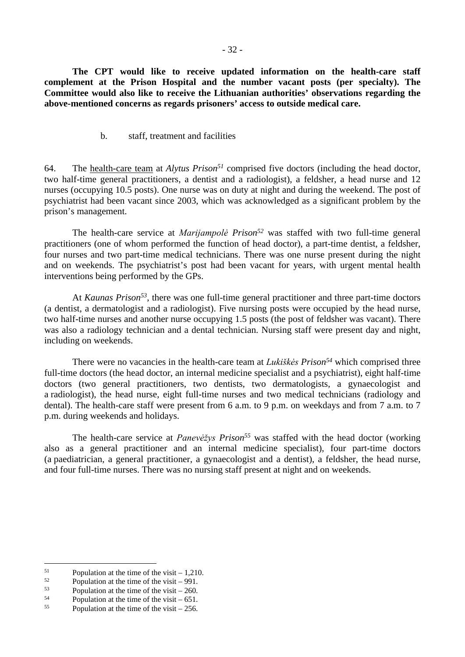**The CPT would like to receive updated information on the health-care staff complement at the Prison Hospital and the number vacant posts (per specialty). The Committee would also like to receive the Lithuanian authorities' observations regarding the above-mentioned concerns as regards prisoners' access to outside medical care.**

### <span id="page-31-0"></span>b. staff, treatment and facilities

64. The health-care team at *Alytus Prison<sup>51</sup>* comprised five doctors (including the head doctor, two half-time general practitioners, a dentist and a radiologist), a feldsher, a head nurse and 12 nurses (occupying 10.5 posts). One nurse was on duty at night and during the weekend. The post of psychiatrist had been vacant since 2003, which was acknowledged as a significant problem by the prison's management.

The health-care service at *Marijampolė Prison<sup>52</sup>* was staffed with two full-time general practitioners (one of whom performed the function of head doctor), a part-time dentist, a feldsher, four nurses and two part-time medical technicians. There was one nurse present during the night and on weekends. The psychiatrist's post had been vacant for years, with urgent mental health interventions being performed by the GPs.

At *Kaunas Prison<sup>53</sup>*, there was one full-time general practitioner and three part-time doctors (a dentist, a dermatologist and a radiologist). Five nursing posts were occupied by the head nurse, two half-time nurses and another nurse occupying 1.5 posts (the post of feldsher was vacant). There was also a radiology technician and a dental technician. Nursing staff were present day and night, including on weekends.

There were no vacancies in the health-care team at *Lukiškės Prison<sup>54</sup>* which comprised three full-time doctors (the head doctor, an internal medicine specialist and a psychiatrist), eight half-time doctors (two general practitioners, two dentists, two dermatologists, a gynaecologist and a radiologist), the head nurse, eight full-time nurses and two medical technicians (radiology and dental). The health-care staff were present from 6 a.m. to 9 p.m. on weekdays and from 7 a.m. to 7 p.m. during weekends and holidays.

The health-care service at *Panevėžys Prison<sup>55</sup>* was staffed with the head doctor (working also as a general practitioner and an internal medicine specialist), four part-time doctors (a paediatrician, a general practitioner, a gynaecologist and a dentist), a feldsher, the head nurse, and four full-time nurses. There was no nursing staff present at night and on weekends.

<sup>&</sup>lt;sup>51</sup> Population at the time of the visit – 1,210.<br> **Example 1. Population at the time of the visit – 001** 

 $^{52}$  Population at the time of the visit – 991.<br>Population at the time of the visit – 260

 $^{53}$  Population at the time of the visit – 260.<br> $^{54}$  Population at the time of the visit – 651

<sup>&</sup>lt;sup>54</sup> Population at the time of the visit – 651.<br> $\frac{55}{256}$ 

Population at the time of the visit  $-256$ .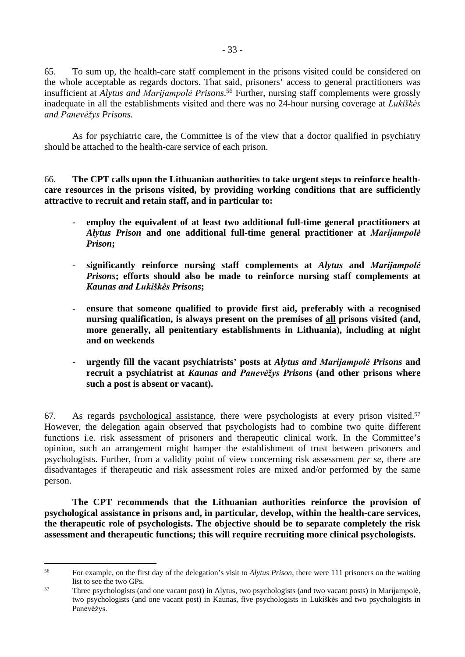65. To sum up, the health-care staff complement in the prisons visited could be considered on the whole acceptable as regards doctors. That said, prisoners' access to general practitioners was insufficient at *Alytus and Marijampolė Prisons*. <sup>56</sup> Further, nursing staff complements were grossly inadequate in all the establishments visited and there was no 24-hour nursing coverage at *Lukiškės and Panevėžys Prisons.*

As for psychiatric care, the Committee is of the view that a doctor qualified in psychiatry should be attached to the health-care service of each prison.

66. **The CPT calls upon the Lithuanian authorities to take urgent steps to reinforce healthcare resources in the prisons visited, by providing working conditions that are sufficiently attractive to recruit and retain staff, and in particular to:**

- **employ the equivalent of at least two additional full-time general practitioners at**  *Alytus Prison* **and one additional full-time general practitioner at** *Marijampolė Prison***;**
- **significantly reinforce nursing staff complements at** *Alytus* **and** *Marijampolė Prisons***; efforts should also be made to reinforce nursing staff complements at**  *Kaunas and Lukiškės Prisons***;**
- **ensure that someone qualified to provide first aid, preferably with a recognised nursing qualification, is always present on the premises of all prisons visited (and, more generally, all penitentiary establishments in Lithuania), including at night and on weekends**
- **urgently fill the vacant psychiatrists' posts at** *Alytus and Marijampolė Prisons* **and recruit a psychiatrist at** *Kaunas and Panevėžys Prisons* **(and other prisons where such a post is absent or vacant).**

67. As regards psychological assistance, there were psychologists at every prison visited.<sup>57</sup> However, the delegation again observed that psychologists had to combine two quite different functions i.e. risk assessment of prisoners and therapeutic clinical work. In the Committee's opinion, such an arrangement might hamper the establishment of trust between prisoners and psychologists. Further, from a validity point of view concerning risk assessment *per se*, there are disadvantages if therapeutic and risk assessment roles are mixed and/or performed by the same person.

**The CPT recommends that the Lithuanian authorities reinforce the provision of psychological assistance in prisons and, in particular, develop, within the health-care services, the therapeutic role of psychologists. The objective should be to separate completely the risk assessment and therapeutic functions; this will require recruiting more clinical psychologists.**

<sup>56</sup> For example, on the first day of the delegation's visit to *Alytus Prison*, there were 111 prisoners on the waiting list to see the two GPs.

<sup>57</sup> Three psychologists (and one vacant post) in Alytus, two psychologists (and two vacant posts) in Marijampolė, two psychologists (and one vacant post) in Kaunas, five psychologists in Lukiškės and two psychologists in Panevėžys.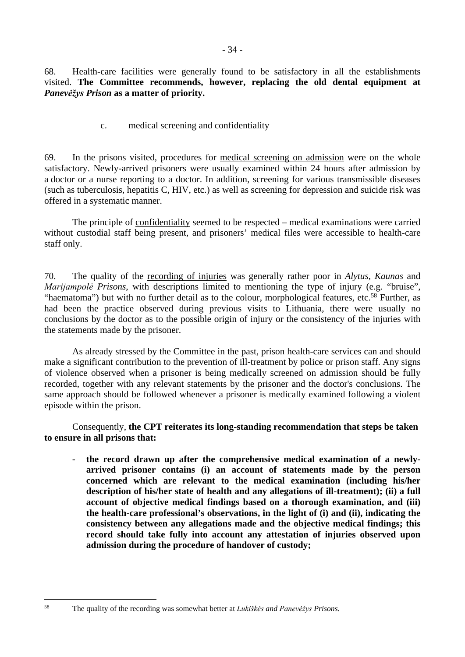68. Health-care facilities were generally found to be satisfactory in all the establishments visited. **The Committee recommends, however, replacing the old dental equipment at**  *Panevėžys Prison* **as a matter of priority.**

<span id="page-33-0"></span>c. medical screening and confidentiality

69. In the prisons visited, procedures for medical screening on admission were on the whole satisfactory. Newly-arrived prisoners were usually examined within 24 hours after admission by a doctor or a nurse reporting to a doctor. In addition, screening for various transmissible diseases (such as tuberculosis, hepatitis C, HIV, etc.) as well as screening for depression and suicide risk was offered in a systematic manner.

The principle of confidentiality seemed to be respected – medical examinations were carried without custodial staff being present, and prisoners' medical files were accessible to health-care staff only.

70. The quality of the recording of injuries was generally rather poor in *Alytus, Kaunas* and *Marijampolė Prisons*, with descriptions limited to mentioning the type of injury (e.g. "bruise", "haematoma") but with no further detail as to the colour, morphological features, etc.<sup>58</sup> Further, as had been the practice observed during previous visits to Lithuania, there were usually no conclusions by the doctor as to the possible origin of injury or the consistency of the injuries with the statements made by the prisoner.

As already stressed by the Committee in the past, prison health-care services can and should make a significant contribution to the prevention of ill-treatment by police or prison staff. Any signs of violence observed when a prisoner is being medically screened on admission should be fully recorded, together with any relevant statements by the prisoner and the doctor's conclusions. The same approach should be followed whenever a prisoner is medically examined following a violent episode within the prison.

Consequently, **the CPT reiterates its long-standing recommendation that steps be taken to ensure in all prisons that:**

- **the record drawn up after the comprehensive medical examination of a newlyarrived prisoner contains (i) an account of statements made by the person concerned which are relevant to the medical examination (including his/her description of his/her state of health and any allegations of ill-treatment); (ii) a full account of objective medical findings based on a thorough examination, and (iii) the health-care professional's observations, in the light of (i) and (ii), indicating the consistency between any allegations made and the objective medical findings; this record should take fully into account any attestation of injuries observed upon admission during the procedure of handover of custody;**

<sup>58</sup> The quality of the recording was somewhat better at *Lukiškės and Panevėžys Prisons.*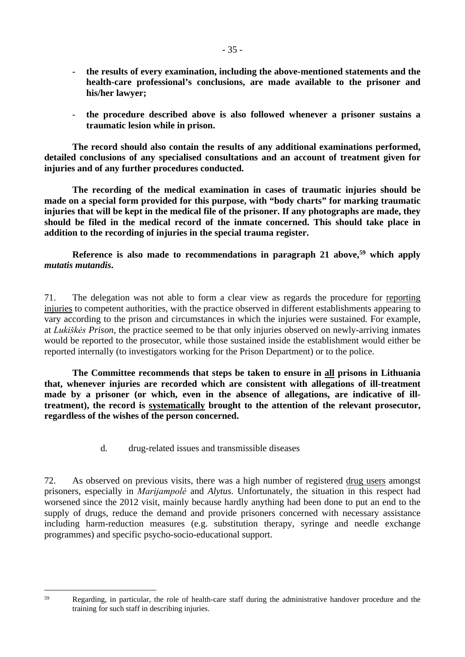- **the results of every examination, including the above-mentioned statements and the health-care professional's conclusions, are made available to the prisoner and his/her lawyer;**
- the procedure described above is also followed whenever a prisoner sustains a **traumatic lesion while in prison.**

**The record should also contain the results of any additional examinations performed, detailed conclusions of any specialised consultations and an account of treatment given for injuries and of any further procedures conducted.** 

**The recording of the medical examination in cases of traumatic injuries should be made on a special form provided for this purpose, with "body charts" for marking traumatic injuries that will be kept in the medical file of the prisoner. If any photographs are made, they should be filed in the medical record of the inmate concerned. This should take place in addition to the recording of injuries in the special trauma register.**

## **Reference is also made to recommendations in paragraph 21 above,<sup>59</sup> which apply**  *mutatis mutandis***.**

71. The delegation was not able to form a clear view as regards the procedure for reporting injuries to competent authorities, with the practice observed in different establishments appearing to vary according to the prison and circumstances in which the injuries were sustained. For example, at *Lukiškės Prison*, the practice seemed to be that only injuries observed on newly-arriving inmates would be reported to the prosecutor, while those sustained inside the establishment would either be reported internally (to investigators working for the Prison Department) or to the police.

**The Committee recommends that steps be taken to ensure in all prisons in Lithuania that, whenever injuries are recorded which are consistent with allegations of ill-treatment made by a prisoner (or which, even in the absence of allegations, are indicative of illtreatment), the record is systematically brought to the attention of the relevant prosecutor, regardless of the wishes of the person concerned.**

<span id="page-34-0"></span>d. drug-related issues and transmissible diseases

72. As observed on previous visits, there was a high number of registered drug users amongst prisoners, especially in *Marijampolė* and *Alytus*. Unfortunately, the situation in this respect had worsened since the 2012 visit, mainly because hardly anything had been done to put an end to the supply of drugs, reduce the demand and provide prisoners concerned with necessary assistance including harm-reduction measures (e.g. substitution therapy, syringe and needle exchange programmes) and specific psycho-socio-educational support.

<sup>59</sup> Regarding, in particular, the role of health-care staff during the administrative handover procedure and the training for such staff in describing injuries.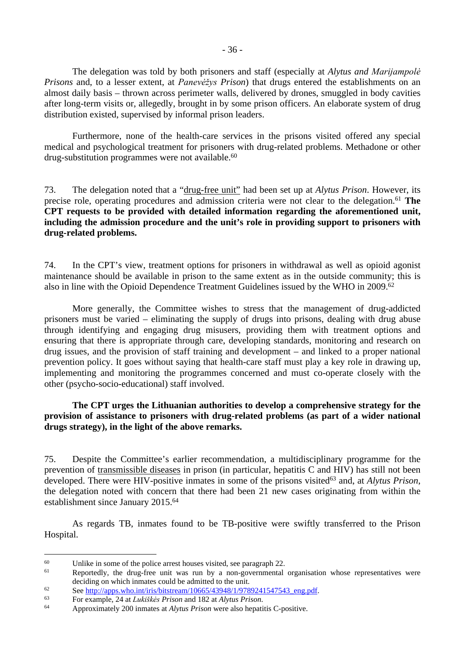The delegation was told by both prisoners and staff (especially at *Alytus and Marijampolė Prisons* and, to a lesser extent, at *Panevėžys Prison*) that drugs entered the establishments on an almost daily basis – thrown across perimeter walls, delivered by drones, smuggled in body cavities after long-term visits or, allegedly, brought in by some prison officers. An elaborate system of drug distribution existed, supervised by informal prison leaders.

Furthermore, none of the health-care services in the prisons visited offered any special medical and psychological treatment for prisoners with drug-related problems. Methadone or other drug-substitution programmes were not available.<sup>60</sup>

73. The delegation noted that a "drug-free unit" had been set up at *Alytus Prison*. However, its precise role, operating procedures and admission criteria were not clear to the delegation.<sup>61</sup> The **CPT requests to be provided with detailed information regarding the aforementioned unit, including the admission procedure and the unit's role in providing support to prisoners with drug-related problems.**

74. In the CPT's view, treatment options for prisoners in withdrawal as well as opioid agonist maintenance should be available in prison to the same extent as in the outside community; this is also in line with the Opioid Dependence Treatment Guidelines issued by the WHO in 2009.<sup>62</sup>

More generally, the Committee wishes to stress that the management of drug-addicted prisoners must be varied – eliminating the supply of drugs into prisons, dealing with drug abuse through identifying and engaging drug misusers, providing them with treatment options and ensuring that there is appropriate through care, developing standards, monitoring and research on drug issues, and the provision of staff training and development – and linked to a proper national prevention policy. It goes without saying that health-care staff must play a key role in drawing up, implementing and monitoring the programmes concerned and must co-operate closely with the other (psycho-socio-educational) staff involved.

**The CPT urges the Lithuanian authorities to develop a comprehensive strategy for the provision of assistance to prisoners with drug-related problems (as part of a wider national drugs strategy), in the light of the above remarks.** 

75. Despite the Committee's earlier recommendation, a multidisciplinary programme for the prevention of transmissible diseases in prison (in particular, hepatitis C and HIV) has still not been developed. There were HIV-positive inmates in some of the prisons visited<sup>63</sup> and, at *Alytus Prison*, the delegation noted with concern that there had been 21 new cases originating from within the establishment since January 2015.<sup>64</sup>

As regards TB, inmates found to be TB-positive were swiftly transferred to the Prison Hospital.

<sup>&</sup>lt;sup>60</sup> Unlike in some of the police arrest houses visited, see paragraph 22.

Reportedly, the drug-free unit was run by a non-governmental organisation whose representatives were deciding on which inmates could be admitted to the unit.

<sup>62</sup> See [http://apps.who.int/iris/bitstream/10665/43948/1/9789241547543\\_eng.pdf.](http://apps.who.int/iris/bitstream/10665/43948/1/9789241547543_eng.pdf)<br>63 Een avample 24 et Lukiškás Brigge and 182 et Abrtus Brigge

<sup>63</sup> For example, 24 at *Lukiškės Prison* and 182 at *Alytus Prison*.

<sup>64</sup> Approximately 200 inmates at *Alytus Prison* were also hepatitis C-positive.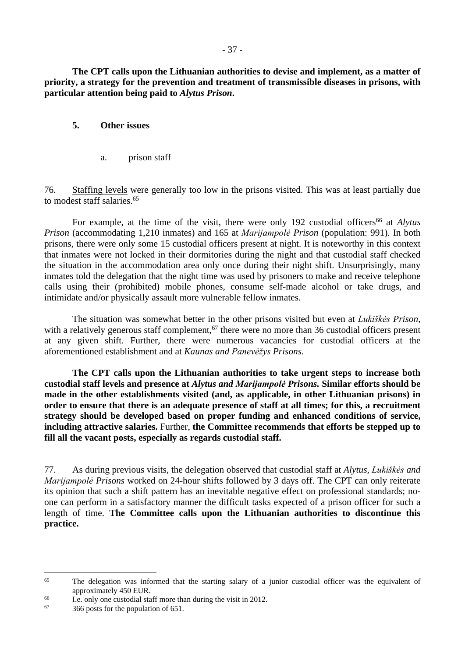**The CPT calls upon the Lithuanian authorities to devise and implement, as a matter of priority, a strategy for the prevention and treatment of transmissible diseases in prisons, with particular attention being paid to** *Alytus Prison***.**

### <span id="page-36-0"></span>**5. Other issues**

<span id="page-36-1"></span>a. prison staff

76. Staffing levels were generally too low in the prisons visited. This was at least partially due to modest staff salaries.<sup>65</sup>

For example, at the time of the visit, there were only 192 custodial officers<sup>66</sup> at *Alytus Prison* (accommodating 1,210 inmates) and 165 at *Marijampolė Prison* (population: 991). In both prisons, there were only some 15 custodial officers present at night. It is noteworthy in this context that inmates were not locked in their dormitories during the night and that custodial staff checked the situation in the accommodation area only once during their night shift. Unsurprisingly, many inmates told the delegation that the night time was used by prisoners to make and receive telephone calls using their (prohibited) mobile phones, consume self-made alcohol or take drugs, and intimidate and/or physically assault more vulnerable fellow inmates.

The situation was somewhat better in the other prisons visited but even at *Lukiškės Prison*, with a relatively generous staff complement,<sup>67</sup> there were no more than 36 custodial officers present at any given shift. Further, there were numerous vacancies for custodial officers at the aforementioned establishment and at *Kaunas and Panevėžys Prisons.*

**The CPT calls upon the Lithuanian authorities to take urgent steps to increase both custodial staff levels and presence at** *Alytus and Marijampolė Prisons.* **Similar efforts should be made in the other establishments visited (and, as applicable, in other Lithuanian prisons) in order to ensure that there is an adequate presence of staff at all times; for this, a recruitment strategy should be developed based on proper funding and enhanced conditions of service, including attractive salaries.** Further, **the Committee recommends that efforts be stepped up to fill all the vacant posts, especially as regards custodial staff.**

77. As during previous visits, the delegation observed that custodial staff at *Alytus, Lukiškės and Marijampolė Prisons* worked on 24-hour shifts followed by 3 days off. The CPT can only reiterate its opinion that such a shift pattern has an inevitable negative effect on professional standards; noone can perform in a satisfactory manner the difficult tasks expected of a prison officer for such a length of time. **The Committee calls upon the Lithuanian authorities to discontinue this practice.**

<sup>&</sup>lt;sup>65</sup> The delegation was informed that the starting salary of a junior custodial officer was the equivalent of approximately 450 EUR.

<sup>&</sup>lt;sup>66</sup> I.e. only one custodial staff more than during the visit in 2012.<br><sup>67</sup> 266 posts for the population of 651

<sup>67</sup> 366 posts for the population of 651.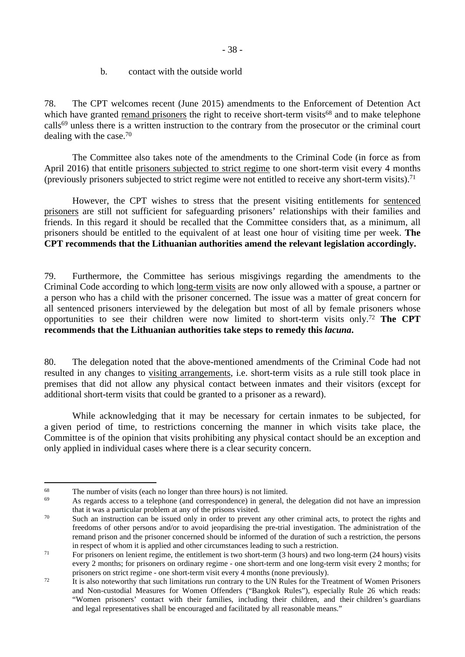#### <span id="page-37-0"></span>b. contact with the outside world

78. The CPT welcomes recent (June 2015) amendments to the Enforcement of Detention Act which have granted remand prisoners the right to receive short-term visits<sup>68</sup> and to make telephone calls<sup>69</sup> unless there is a written instruction to the contrary from the prosecutor or the criminal court dealing with the case.<sup>70</sup>

The Committee also takes note of the amendments to the Criminal Code (in force as from April 2016) that entitle prisoners subjected to strict regime to one short-term visit every 4 months (previously prisoners subjected to strict regime were not entitled to receive any short-term visits).<sup>71</sup>

However, the CPT wishes to stress that the present visiting entitlements for sentenced prisoners are still not sufficient for safeguarding prisoners' relationships with their families and friends. In this regard it should be recalled that the Committee considers that, as a minimum, all prisoners should be entitled to the equivalent of at least one hour of visiting time per week. **The CPT recommends that the Lithuanian authorities amend the relevant legislation accordingly.**

79. Furthermore, the Committee has serious misgivings regarding the amendments to the Criminal Code according to which long-term visits are now only allowed with a spouse, a partner or a person who has a child with the prisoner concerned. The issue was a matter of great concern for all sentenced prisoners interviewed by the delegation but most of all by female prisoners whose opportunities to see their children were now limited to short-term visits only.<sup>72</sup> **The CPT recommends that the Lithuanian authorities take steps to remedy this** *lacuna***.** 

80. The delegation noted that the above-mentioned amendments of the Criminal Code had not resulted in any changes to visiting arrangements, i.e. short-term visits as a rule still took place in premises that did not allow any physical contact between inmates and their visitors (except for additional short-term visits that could be granted to a prisoner as a reward).

While acknowledging that it may be necessary for certain inmates to be subjected, for a given period of time, to restrictions concerning the manner in which visits take place, the Committee is of the opinion that visits prohibiting any physical contact should be an exception and only applied in individual cases where there is a clear security concern.

<sup>&</sup>lt;sup>68</sup> The number of visits (each no longer than three hours) is not limited.<br> $\frac{69}{26}$  As recently access to a talenthana (and correspondence) in general the

As regards access to a telephone (and correspondence) in general, the delegation did not have an impression that it was a particular problem at any of the prisons visited.

<sup>&</sup>lt;sup>70</sup> Such an instruction can be issued only in order to prevent any other criminal acts, to protect the rights and freedoms of other persons and/or to avoid jeopardising the pre-trial investigation. The administration of the remand prison and the prisoner concerned should be informed of the duration of such a restriction, the persons in respect of whom it is applied and other circumstances leading to such a restriction.

 $^{71}$  For prisoners on lenient regime, the entitlement is two short-term (3 hours) and two long-term (24 hours) visits every 2 months; for prisoners on ordinary regime - one short-term and one long-term visit every 2 months; for prisoners on strict regime - one short-term visit every 4 months (none previously).

<sup>&</sup>lt;sup>72</sup> It is also noteworthy that such limitations run contrary to the UN Rules for the Treatment of Women Prisoners and Non-custodial Measures for Women Offenders ("Bangkok Rules"), especially Rule 26 which reads: "Women prisoners' contact with their families, including their children, and their children's guardians and legal representatives shall be encouraged and facilitated by all reasonable means."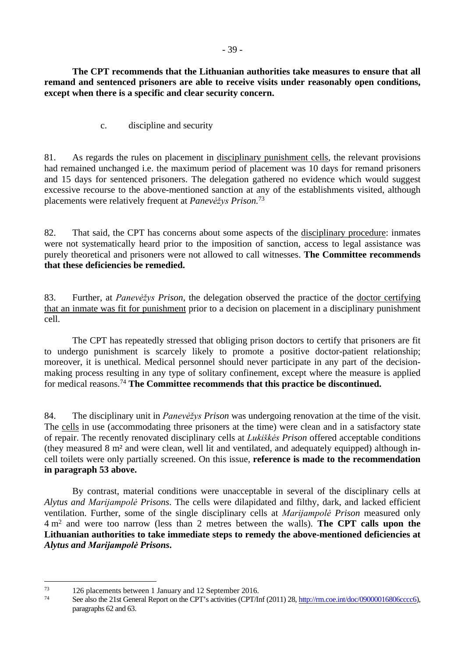**The CPT recommends that the Lithuanian authorities take measures to ensure that all remand and sentenced prisoners are able to receive visits under reasonably open conditions, except when there is a specific and clear security concern.**

<span id="page-38-0"></span>c. discipline and security

81. As regards the rules on placement in disciplinary punishment cells, the relevant provisions had remained unchanged i.e. the maximum period of placement was 10 days for remand prisoners and 15 days for sentenced prisoners. The delegation gathered no evidence which would suggest excessive recourse to the above-mentioned sanction at any of the establishments visited, although placements were relatively frequent at *Panevėžys Prison.*<sup>73</sup>

82. That said, the CPT has concerns about some aspects of the disciplinary procedure: inmates were not systematically heard prior to the imposition of sanction, access to legal assistance was purely theoretical and prisoners were not allowed to call witnesses. **The Committee recommends that these deficiencies be remedied.**

83. Further, at *Panevėžys Prison*, the delegation observed the practice of the doctor certifying that an inmate was fit for punishment prior to a decision on placement in a disciplinary punishment cell.

The CPT has repeatedly stressed that obliging prison doctors to certify that prisoners are fit to undergo punishment is scarcely likely to promote a positive doctor-patient relationship; moreover, it is unethical. Medical personnel should never participate in any part of the decisionmaking process resulting in any type of solitary confinement, except where the measure is applied for medical reasons.<sup>74</sup> **The Committee recommends that this practice be discontinued.** 

84. The disciplinary unit in *Panevėžys Prison* was undergoing renovation at the time of the visit. The cells in use (accommodating three prisoners at the time) were clean and in a satisfactory state of repair. The recently renovated disciplinary cells at *Lukiškės Prison* offered acceptable conditions (they measured 8 m² and were clean, well lit and ventilated, and adequately equipped) although incell toilets were only partially screened. On this issue, **reference is made to the recommendation in paragraph 53 above.**

By contrast, material conditions were unacceptable in several of the disciplinary cells at *Alytus and Marijampolė Prisons*. The cells were dilapidated and filthy, dark, and lacked efficient ventilation. Further, some of the single disciplinary cells at *Marijampolė Prison* measured only 4 m<sup>2</sup> and were too narrow (less than 2 metres between the walls). **The CPT calls upon the Lithuanian authorities to take immediate steps to remedy the above-mentioned deficiencies at**  *Alytus and Marijampolė Prisons***.** 

<sup>&</sup>lt;sup>73</sup> 126 placements between 1 January and 12 September 2016.<br><sup>74</sup> See also the 21st General Banert on the CDT's estimities (CDT/L

See also the 21st General Report on the CPT's activities (CPT/Inf (2011) 28, <http://rm.coe.int/doc/09000016806cccc6>), paragraphs 62 and 63.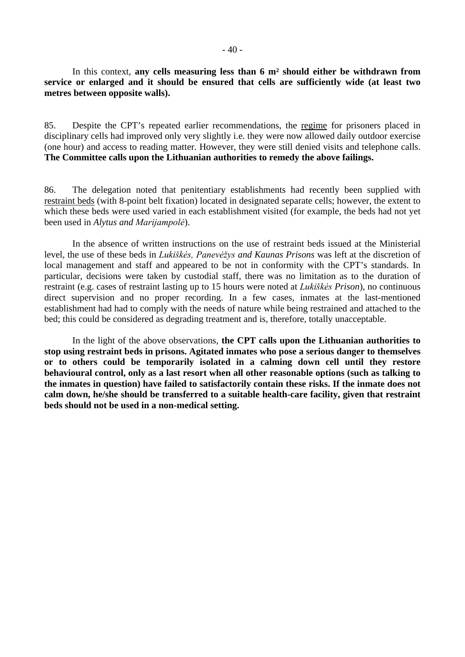In this context, **any cells measuring less than 6 m² should either be withdrawn from service or enlarged and it should be ensured that cells are sufficiently wide (at least two metres between opposite walls).**

85. Despite the CPT's repeated earlier recommendations, the regime for prisoners placed in disciplinary cells had improved only very slightly i.e. they were now allowed daily outdoor exercise (one hour) and access to reading matter. However, they were still denied visits and telephone calls. **The Committee calls upon the Lithuanian authorities to remedy the above failings.**

86. The delegation noted that penitentiary establishments had recently been supplied with restraint beds (with 8-point belt fixation) located in designated separate cells; however, the extent to which these beds were used varied in each establishment visited (for example, the beds had not yet been used in *Alytus and Marijampolė*).

In the absence of written instructions on the use of restraint beds issued at the Ministerial level, the use of these beds in *Lukiškės, Panevėžys and Kaunas Prisons* was left at the discretion of local management and staff and appeared to be not in conformity with the CPT's standards. In particular, decisions were taken by custodial staff, there was no limitation as to the duration of restraint (e.g. cases of restraint lasting up to 15 hours were noted at *Lukiškės Prison*), no continuous direct supervision and no proper recording. In a few cases, inmates at the last-mentioned establishment had had to comply with the needs of nature while being restrained and attached to the bed; this could be considered as degrading treatment and is, therefore, totally unacceptable.

In the light of the above observations, **the CPT calls upon the Lithuanian authorities to stop using restraint beds in prisons. Agitated inmates who pose a serious danger to themselves or to others could be temporarily isolated in a calming down cell until they restore behavioural control, only as a last resort when all other reasonable options (such as talking to the inmates in question) have failed to satisfactorily contain these risks. If the inmate does not calm down, he/she should be transferred to a suitable health-care facility, given that restraint beds should not be used in a non-medical setting.**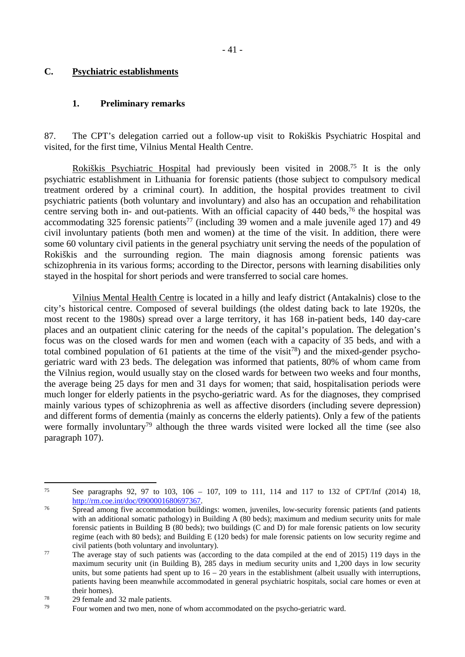### <span id="page-40-0"></span>**C. Psychiatric establishments**

### <span id="page-40-1"></span>**1. Preliminary remarks**

87. The CPT's delegation carried out a follow-up visit to Rokiškis Psychiatric Hospital and visited, for the first time, Vilnius Mental Health Centre.

Rokiškis Psychiatric Hospital had previously been visited in 2008.<sup>75</sup> It is the only psychiatric establishment in Lithuania for forensic patients (those subject to compulsory medical treatment ordered by a criminal court). In addition, the hospital provides treatment to civil psychiatric patients (both voluntary and involuntary) and also has an occupation and rehabilitation centre serving both in- and out-patients. With an official capacity of 440 beds,<sup>76</sup> the hospital was accommodating 325 forensic patients<sup>77</sup> (including 39 women and a male juvenile aged 17) and 49 civil involuntary patients (both men and women) at the time of the visit. In addition, there were some 60 voluntary civil patients in the general psychiatry unit serving the needs of the population of Rokiškis and the surrounding region. The main diagnosis among forensic patients was schizophrenia in its various forms; according to the Director, persons with learning disabilities only stayed in the hospital for short periods and were transferred to social care homes.

Vilnius Mental Health Centre is located in a hilly and leafy district (Antakalnis) close to the city's historical centre. Composed of several buildings (the oldest dating back to late 1920s, the most recent to the 1980s) spread over a large territory, it has 168 in-patient beds, 140 day-care places and an outpatient clinic catering for the needs of the capital's population. The delegation's focus was on the closed wards for men and women (each with a capacity of 35 beds, and with a total combined population of 61 patients at the time of the visit<sup>78</sup>) and the mixed-gender psychogeriatric ward with 23 beds. The delegation was informed that patients, 80% of whom came from the Vilnius region, would usually stay on the closed wards for between two weeks and four months, the average being 25 days for men and 31 days for women; that said, hospitalisation periods were much longer for elderly patients in the psycho-geriatric ward. As for the diagnoses, they comprised mainly various types of schizophrenia as well as affective disorders (including severe depression) and different forms of dementia (mainly as concerns the elderly patients). Only a few of the patients were formally involuntary<sup>79</sup> although the three wards visited were locked all the time (see also paragraph 107).

<sup>&</sup>lt;sup>75</sup> See paragraphs 92, 97 to 103, 106 – 107, 109 to 111, 114 and 117 to 132 of CPT/Inf (2014) 18, <http://rm.coe.int/doc/0900001680697367>.

<sup>&</sup>lt;sup>76</sup> Spread among five accommodation buildings: women, juveniles, low-security forensic patients (and patients with an additional somatic pathology) in Building A (80 beds); maximum and medium security units for male forensic patients in Building B (80 beds); two buildings (C and D) for male forensic patients on low security regime (each with 80 beds); and Building E (120 beds) for male forensic patients on low security regime and civil patients (both voluntary and involuntary).

<sup>&</sup>lt;sup>77</sup> The average stay of such patients was (according to the data compiled at the end of 2015) 119 days in the maximum security unit (in Building B), 285 days in medium security units and 1,200 days in low security units, but some patients had spent up to  $16 - 20$  years in the establishment (albeit usually with interruptions, patients having been meanwhile accommodated in general psychiatric hospitals, social care homes or even at their homes).

<sup>78</sup> 29 female and 32 male patients.

Four women and two men, none of whom accommodated on the psycho-geriatric ward.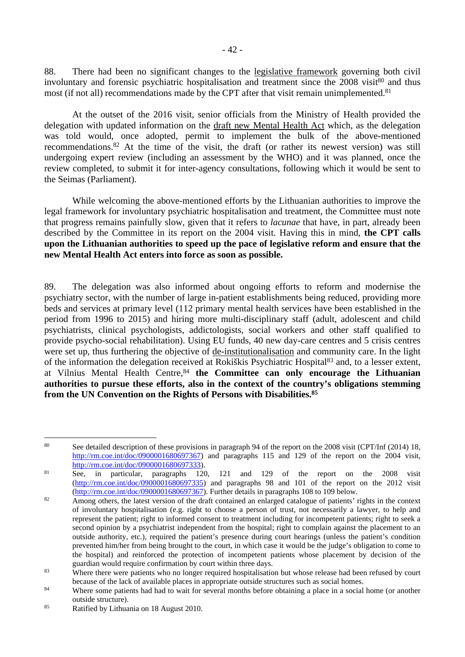88. There had been no significant changes to the legislative framework governing both civil involuntary and forensic psychiatric hospitalisation and treatment since the  $2008$  visit $80$  and thus most (if not all) recommendations made by the CPT after that visit remain unimplemented.<sup>81</sup>

At the outset of the 2016 visit, senior officials from the Ministry of Health provided the delegation with updated information on the draft new Mental Health Act which, as the delegation was told would, once adopted, permit to implement the bulk of the above-mentioned recommendations.<sup>82</sup> At the time of the visit, the draft (or rather its newest version) was still undergoing expert review (including an assessment by the WHO) and it was planned, once the review completed, to submit it for inter-agency consultations, following which it would be sent to the Seimas (Parliament).

While welcoming the above-mentioned efforts by the Lithuanian authorities to improve the legal framework for involuntary psychiatric hospitalisation and treatment, the Committee must note that progress remains painfully slow, given that it refers to *lacunae* that have, in part, already been described by the Committee in its report on the 2004 visit. Having this in mind, **the CPT calls upon the Lithuanian authorities to speed up the pace of legislative reform and ensure that the new Mental Health Act enters into force as soon as possible.** 

89. The delegation was also informed about ongoing efforts to reform and modernise the psychiatry sector, with the number of large in-patient establishments being reduced, providing more beds and services at primary level (112 primary mental health services have been established in the period from 1996 to 2015) and hiring more multi-disciplinary staff (adult, adolescent and child psychiatrists, clinical psychologists, addictologists, social workers and other staff qualified to provide psycho-social rehabilitation). Using EU funds, 40 new day-care centres and 5 crisis centres were set up, thus furthering the objective of de-institutionalisation and community care. In the light of the information the delegation received at Rokiškis Psychiatric Hospital<sup>83</sup> and, to a lesser extent, at Vilnius Mental Health Centre,<sup>84</sup> **the Committee can only encourage the Lithuanian authorities to pursue these efforts, also in the context of the country's obligations stemming from the UN Convention on the Rights of Persons with Disabilities.<sup>85</sup>**

<sup>&</sup>lt;sup>80</sup> See detailed description of these provisions in paragraph 94 of the report on the 2008 visit (CPT/Inf (2014) 18, <http://rm.coe.int/doc/0900001680697367>) and paragraphs 115 and 129 of the report on the 2004 visit, <http://rm.coe.int/doc/0900001680697333>).<br>See, in particular, paragraphs 120,

<sup>81</sup> See, in particular, paragraphs 120, 121 and 129 of the report on the 2008 visit [\(http://rm.coe.int/doc/0900001680697335](http://rm.coe.int/doc/0900001680697335)) and paragraphs 98 and 101 of the report on the 2012 visit [\(http://rm.coe.int/doc/0900001680697367](http://rm.coe.int/doc/0900001680697367)). Further details in paragraphs 108 to 109 below.

<sup>82</sup> Among others, the latest version of the draft contained an enlarged catalogue of patients' rights in the context of involuntary hospitalisation (e.g. right to choose a person of trust, not necessarily a lawyer, to help and represent the patient; right to informed consent to treatment including for incompetent patients; right to seek a second opinion by a psychiatrist independent from the hospital; right to complain against the placement to an outside authority, etc.), required the patient's presence during court hearings (unless the patient's condition prevented him/her from being brought to the court, in which case it would be the judge's obligation to come to the hospital) and reinforced the protection of incompetent patients whose placement by decision of the guardian would require confirmation by court within three days.

<sup>&</sup>lt;sup>83</sup> Where there were patients who no longer required hospitalisation but whose release had been refused by court because of the lack of available places in appropriate outside structures such as social homes.

<sup>&</sup>lt;sup>84</sup> Where some patients had had to wait for several months before obtaining a place in a social home (or another outside structure).

<sup>85</sup> Ratified by Lithuania on 18 August 2010.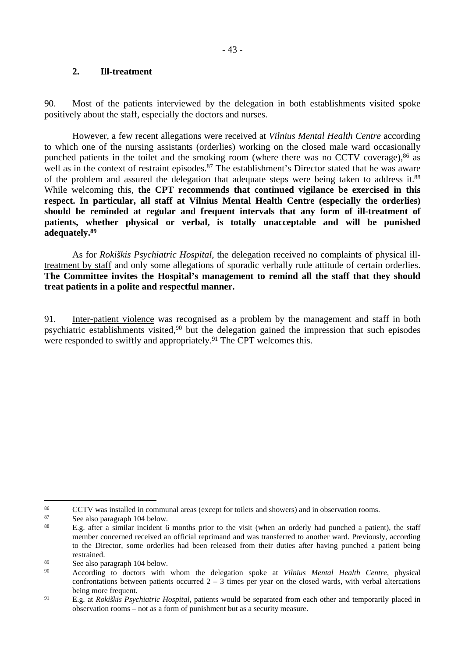#### <span id="page-42-0"></span>**2. Ill-treatment**

90. Most of the patients interviewed by the delegation in both establishments visited spoke positively about the staff, especially the doctors and nurses.

However, a few recent allegations were received at *Vilnius Mental Health Centre* according to which one of the nursing assistants (orderlies) working on the closed male ward occasionally punched patients in the toilet and the smoking room (where there was no CCTV coverage),<sup>86</sup> as well as in the context of restraint episodes.<sup>87</sup> The establishment's Director stated that he was aware of the problem and assured the delegation that adequate steps were being taken to address it.<sup>88</sup> While welcoming this, **the CPT recommends that continued vigilance be exercised in this respect. In particular, all staff at Vilnius Mental Health Centre (especially the orderlies) should be reminded at regular and frequent intervals that any form of ill-treatment of patients, whether physical or verbal, is totally unacceptable and will be punished adequately.<sup>89</sup>**

As for *Rokiškis Psychiatric Hospital*, the delegation received no complaints of physical illtreatment by staff and only some allegations of sporadic verbally rude attitude of certain orderlies. **The Committee invites the Hospital's management to remind all the staff that they should treat patients in a polite and respectful manner.**

91. Inter-patient violence was recognised as a problem by the management and staff in both psychiatric establishments visited,<sup>90</sup> but the delegation gained the impression that such episodes were responded to swiftly and appropriately.<sup>91</sup> The CPT welcomes this.

<sup>&</sup>lt;sup>86</sup> CCTV was installed in communal areas (except for toilets and showers) and in observation rooms.

<sup>&</sup>lt;sup>87</sup> See also paragraph 104 below.

<sup>88</sup> E.g. after a similar incident 6 months prior to the visit (when an orderly had punched a patient), the staff member concerned received an official reprimand and was transferred to another ward. Previously, according to the Director, some orderlies had been released from their duties after having punched a patient being restrained.

 $\frac{89}{20}$  See also paragraph 104 below.

<sup>90</sup> According to doctors with whom the delegation spoke at *Vilnius Mental Health Centre*, physical confrontations between patients occurred  $2 - 3$  times per year on the closed wards, with verbal altercations being more frequent.

<sup>91</sup> E.g. at *Rokiškis Psychiatric Hospital*, patients would be separated from each other and temporarily placed in observation rooms – not as a form of punishment but as a security measure.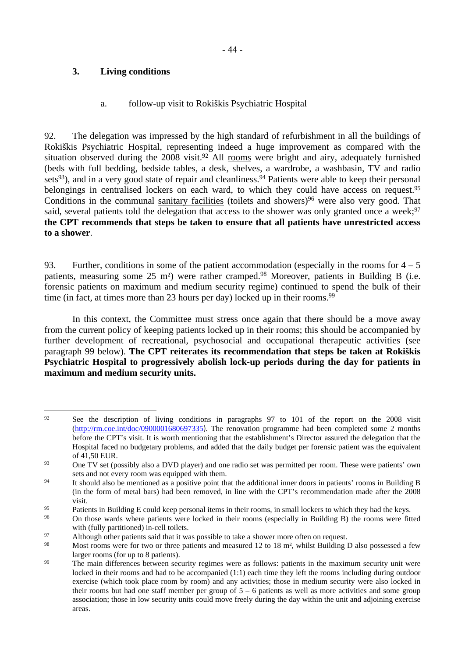## <span id="page-43-0"></span>**3. Living conditions**

### <span id="page-43-1"></span>a. follow-up visit to Rokiškis Psychiatric Hospital

92. The delegation was impressed by the high standard of refurbishment in all the buildings of Rokiškis Psychiatric Hospital, representing indeed a huge improvement as compared with the situation observed during the 2008 visit.<sup>92</sup> All rooms were bright and airy, adequately furnished (beds with full bedding, bedside tables, a desk, shelves, a wardrobe, a washbasin, TV and radio sets<sup>93</sup>), and in a very good state of repair and cleanliness.<sup>94</sup> Patients were able to keep their personal belongings in centralised lockers on each ward, to which they could have access on request.<sup>95</sup> Conditions in the communal sanitary facilities (toilets and showers) $96$  were also very good. That said, several patients told the delegation that access to the shower was only granted once a week;<sup>97</sup> **the CPT recommends that steps be taken to ensure that all patients have unrestricted access to a shower**.

93. Further, conditions in some of the patient accommodation (especially in the rooms for  $4 - 5$ ) patients, measuring some 25 m<sup>2</sup>) were rather cramped.<sup>98</sup> Moreover, patients in Building B (i.e. forensic patients on maximum and medium security regime) continued to spend the bulk of their time (in fact, at times more than 23 hours per day) locked up in their rooms.<sup>99</sup>

In this context, the Committee must stress once again that there should be a move away from the current policy of keeping patients locked up in their rooms; this should be accompanied by further development of recreational, psychosocial and occupational therapeutic activities (see paragraph 99 below). **The CPT reiterates its recommendation that steps be taken at Rokiškis Psychiatric Hospital to progressively abolish lock-up periods during the day for patients in maximum and medium security units.** 

<sup>&</sup>lt;sup>92</sup> See the description of living conditions in paragraphs 97 to 101 of the report on the 2008 visit [\(http://rm.coe.int/doc/0900001680697335](http://rm.coe.int/doc/0900001680697335)). The renovation programme had been completed some 2 months before the CPT's visit. It is worth mentioning that the establishment's Director assured the delegation that the Hospital faced no budgetary problems, and added that the daily budget per forensic patient was the equivalent of 41,50 EUR.

<sup>&</sup>lt;sup>93</sup> One TV set (possibly also a DVD player) and one radio set was permitted per room. These were patients' own sets and not every room was equipped with them.

<sup>&</sup>lt;sup>94</sup> It should also be mentioned as a positive point that the additional inner doors in patients' rooms in Building B (in the form of metal bars) had been removed, in line with the CPT's recommendation made after the 2008 visit.

Patients in Building E could keep personal items in their rooms, in small lockers to which they had the keys.<br>On these words where netiants were looked in their rooms (conocially in Building B) the rooms were fitted.

<sup>96</sup> On those wards where patients were locked in their rooms (especially in Building B) the rooms were fitted with (fully partitioned) in-cell toilets.

<sup>97</sup> Although other patients said that it was possible to take a shower more often on request.

<sup>98</sup> Most rooms were for two or three patients and measured 12 to 18 m², whilst Building D also possessed a few larger rooms (for up to 8 patients).

<sup>&</sup>lt;sup>99</sup> The main differences between security regimes were as follows: patients in the maximum security unit were locked in their rooms and had to be accompanied (1:1) each time they left the rooms including during outdoor exercise (which took place room by room) and any activities; those in medium security were also locked in their rooms but had one staff member per group of  $5 - 6$  patients as well as more activities and some group association; those in low security units could move freely during the day within the unit and adjoining exercise areas.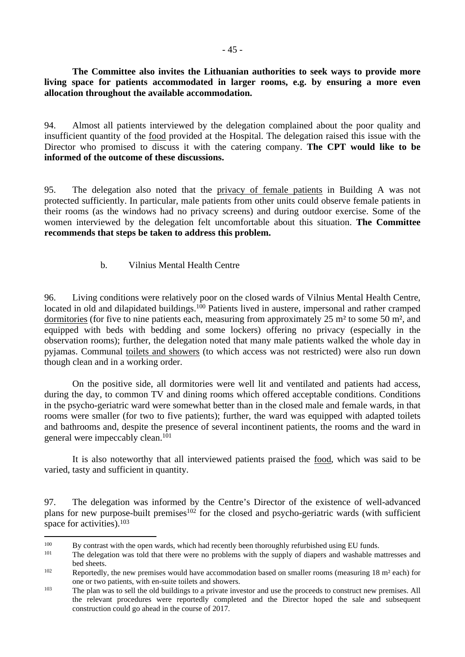**The Committee also invites the Lithuanian authorities to seek ways to provide more living space for patients accommodated in larger rooms, e.g. by ensuring a more even allocation throughout the available accommodation.**

94. Almost all patients interviewed by the delegation complained about the poor quality and insufficient quantity of the food provided at the Hospital. The delegation raised this issue with the Director who promised to discuss it with the catering company. **The CPT would like to be informed of the outcome of these discussions.**

95. The delegation also noted that the privacy of female patients in Building A was not protected sufficiently. In particular, male patients from other units could observe female patients in their rooms (as the windows had no privacy screens) and during outdoor exercise. Some of the women interviewed by the delegation felt uncomfortable about this situation. **The Committee recommends that steps be taken to address this problem.**

## <span id="page-44-0"></span>b. Vilnius Mental Health Centre

96. Living conditions were relatively poor on the closed wards of Vilnius Mental Health Centre, located in old and dilapidated buildings.<sup>100</sup> Patients lived in austere, impersonal and rather cramped dormitories (for five to nine patients each, measuring from approximately 25 m² to some 50 m², and equipped with beds with bedding and some lockers) offering no privacy (especially in the observation rooms); further, the delegation noted that many male patients walked the whole day in pyjamas. Communal toilets and showers (to which access was not restricted) were also run down though clean and in a working order.

On the positive side, all dormitories were well lit and ventilated and patients had access, during the day, to common TV and dining rooms which offered acceptable conditions. Conditions in the psycho-geriatric ward were somewhat better than in the closed male and female wards, in that rooms were smaller (for two to five patients); further, the ward was equipped with adapted toilets and bathrooms and, despite the presence of several incontinent patients, the rooms and the ward in general were impeccably clean.<sup>101</sup>

It is also noteworthy that all interviewed patients praised the food, which was said to be varied, tasty and sufficient in quantity.

<sup>97.</sup> The delegation was informed by the Centre's Director of the existence of well-advanced plans for new purpose-built premises<sup>102</sup> for the closed and psycho-geriatric wards (with sufficient space for activities).<sup>103</sup>

<sup>&</sup>lt;sup>100</sup> By contrast with the open wards, which had recently been thoroughly refurbished using EU funds.

The delegation was told that there were no problems with the supply of diapers and washable mattresses and bed sheets.

<sup>102</sup> Reportedly, the new premises would have accommodation based on smaller rooms (measuring 18 m² each) for one or two patients, with en-suite toilets and showers.

<sup>&</sup>lt;sup>103</sup> The plan was to sell the old buildings to a private investor and use the proceeds to construct new premises. All the relevant procedures were reportedly completed and the Director hoped the sale and subsequent construction could go ahead in the course of 2017.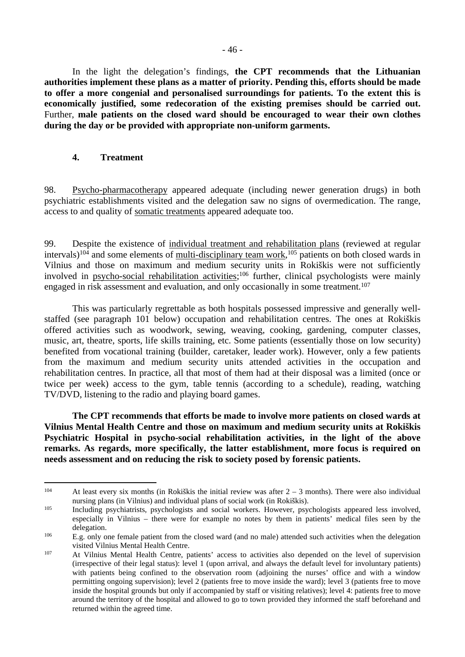In the light the delegation's findings, **the CPT recommends that the Lithuanian authorities implement these plans as a matter of priority. Pending this, efforts should be made to offer a more congenial and personalised surroundings for patients. To the extent this is economically justified, some redecoration of the existing premises should be carried out.**  Further, **male patients on the closed ward should be encouraged to wear their own clothes during the day or be provided with appropriate non-uniform garments.** 

#### <span id="page-45-0"></span>**4. Treatment**

98. Psycho-pharmacotherapy appeared adequate (including newer generation drugs) in both psychiatric establishments visited and the delegation saw no signs of overmedication. The range, access to and quality of somatic treatments appeared adequate too.

99. Despite the existence of individual treatment and rehabilitation plans (reviewed at regular intervals)<sup>104</sup> and some elements of multi-disciplinary team work,<sup>105</sup> patients on both closed wards in Vilnius and those on maximum and medium security units in Rokiškis were not sufficiently involved in psycho-social rehabilitation activities;<sup>106</sup> further, clinical psychologists were mainly engaged in risk assessment and evaluation, and only occasionally in some treatment.<sup>107</sup>

This was particularly regrettable as both hospitals possessed impressive and generally wellstaffed (see paragraph 101 below) occupation and rehabilitation centres. The ones at Rokiškis offered activities such as woodwork, sewing, weaving, cooking, gardening, computer classes, music, art, theatre, sports, life skills training, etc. Some patients (essentially those on low security) benefited from vocational training (builder, caretaker, leader work). However, only a few patients from the maximum and medium security units attended activities in the occupation and rehabilitation centres. In practice, all that most of them had at their disposal was a limited (once or twice per week) access to the gym, table tennis (according to a schedule), reading, watching TV/DVD, listening to the radio and playing board games.

**The CPT recommends that efforts be made to involve more patients on closed wards at Vilnius Mental Health Centre and those on maximum and medium security units at Rokiškis Psychiatric Hospital in psycho-social rehabilitation activities, in the light of the above remarks. As regards, more specifically, the latter establishment, more focus is required on needs assessment and on reducing the risk to society posed by forensic patients.** 

<sup>&</sup>lt;sup>104</sup> At least every six months (in Rokiškis the initial review was after  $2 - 3$  months). There were also individual nursing plans (in Vilnius) and individual plans of social work (in Rokiškis).

<sup>&</sup>lt;sup>105</sup> Including psychiatrists, psychologists and social workers. However, psychologists appeared less involved, especially in Vilnius – there were for example no notes by them in patients' medical files seen by the delegation.

<sup>&</sup>lt;sup>106</sup> E.g. only one female patient from the closed ward (and no male) attended such activities when the delegation visited Vilnius Mental Health Centre.

<sup>107</sup> At Vilnius Mental Health Centre, patients' access to activities also depended on the level of supervision (irrespective of their legal status): level 1 (upon arrival, and always the default level for involuntary patients) with patients being confined to the observation room (adjoining the nurses' office and with a window permitting ongoing supervision); level 2 (patients free to move inside the ward); level 3 (patients free to move inside the hospital grounds but only if accompanied by staff or visiting relatives); level 4: patients free to move around the territory of the hospital and allowed to go to town provided they informed the staff beforehand and returned within the agreed time.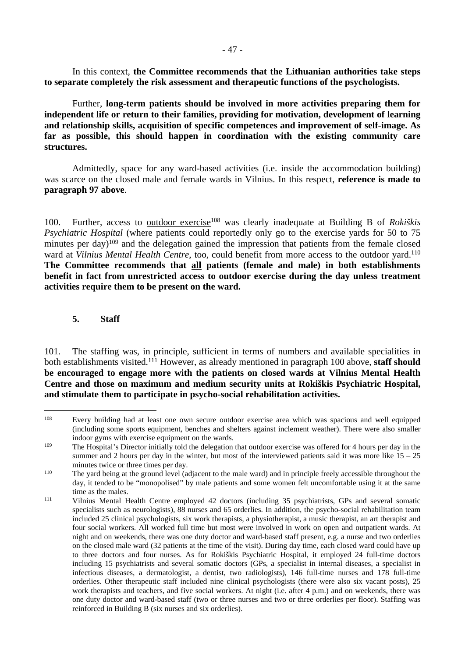In this context, **the Committee recommends that the Lithuanian authorities take steps to separate completely the risk assessment and therapeutic functions of the psychologists.**

Further, **long-term patients should be involved in more activities preparing them for independent life or return to their families, providing for motivation, development of learning and relationship skills, acquisition of specific competences and improvement of self-image. As far as possible, this should happen in coordination with the existing community care structures.**

Admittedly, space for any ward-based activities (i.e. inside the accommodation building) was scarce on the closed male and female wards in Vilnius. In this respect, **reference is made to paragraph 97 above**.

100. Further, access to outdoor exercise<sup>108</sup> was clearly inadequate at Building B of *Rokiškis Psychiatric Hospital* (where patients could reportedly only go to the exercise yards for 50 to 75 minutes per day)<sup>109</sup> and the delegation gained the impression that patients from the female closed ward at *Vilnius Mental Health Centre*, too, could benefit from more access to the outdoor yard.<sup>110</sup> **The Committee recommends that all patients (female and male) in both establishments benefit in fact from unrestricted access to outdoor exercise during the day unless treatment activities require them to be present on the ward.** 

### <span id="page-46-0"></span>**5. Staff**

101. The staffing was, in principle, sufficient in terms of numbers and available specialities in both establishments visited.<sup>111</sup> However, as already mentioned in paragraph 100 above, **staff should be encouraged to engage more with the patients on closed wards at Vilnius Mental Health Centre and those on maximum and medium security units at Rokiškis Psychiatric Hospital, and stimulate them to participate in psycho-social rehabilitation activities.** 

<sup>108</sup> Every building had at least one own secure outdoor exercise area which was spacious and well equipped (including some sports equipment, benches and shelters against inclement weather). There were also smaller indoor gyms with exercise equipment on the wards.

<sup>&</sup>lt;sup>109</sup> The Hospital's Director initially told the delegation that outdoor exercise was offered for 4 hours per day in the summer and 2 hours per day in the winter, but most of the interviewed patients said it was more like  $15 - 25$ minutes twice or three times per day.

<sup>&</sup>lt;sup>110</sup> The vard being at the ground level (adjacent to the male ward) and in principle freely accessible throughout the day, it tended to be "monopolised" by male patients and some women felt uncomfortable using it at the same time as the males.

<sup>111</sup> Vilnius Mental Health Centre employed 42 doctors (including 35 psychiatrists, GPs and several somatic specialists such as neurologists), 88 nurses and 65 orderlies. In addition, the psycho-social rehabilitation team included 25 clinical psychologists, six work therapists, a physiotherapist, a music therapist, an art therapist and four social workers. All worked full time but most were involved in work on open and outpatient wards. At night and on weekends, there was one duty doctor and ward-based staff present, e.g. a nurse and two orderlies on the closed male ward (32 patients at the time of the visit). During day time, each closed ward could have up to three doctors and four nurses. As for Rokiškis Psychiatric Hospital, it employed 24 full-time doctors including 15 psychiatrists and several somatic doctors (GPs, a specialist in internal diseases, a specialist in infectious diseases, a dermatologist, a dentist, two radiologists), 146 full-time nurses and 178 full-time orderlies. Other therapeutic staff included nine clinical psychologists (there were also six vacant posts), 25 work therapists and teachers, and five social workers. At night (i.e. after 4 p.m.) and on weekends, there was one duty doctor and ward-based staff (two or three nurses and two or three orderlies per floor). Staffing was reinforced in Building B (six nurses and six orderlies).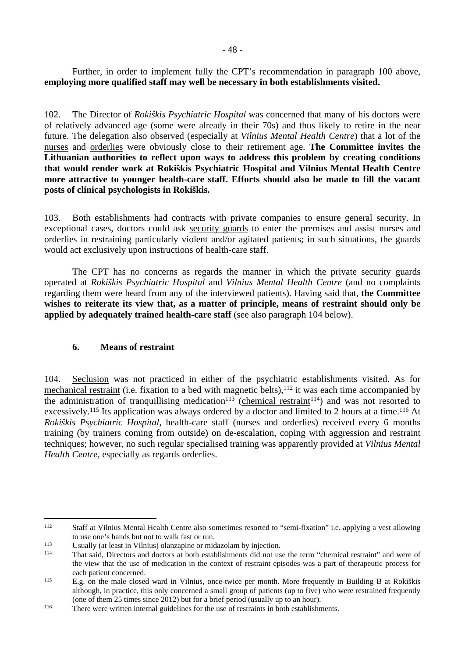Further, in order to implement fully the CPT's recommendation in paragraph 100 above, **employing more qualified staff may well be necessary in both establishments visited.** 

102. The Director of *Rokiškis Psychiatric Hospital* was concerned that many of his doctors were of relatively advanced age (some were already in their 70s) and thus likely to retire in the near future. The delegation also observed (especially at *Vilnius Mental Health Centre*) that a lot of the nurses and orderlies were obviously close to their retirement age. **The Committee invites the Lithuanian authorities to reflect upon ways to address this problem by creating conditions that would render work at Rokiškis Psychiatric Hospital and Vilnius Mental Health Centre more attractive to younger health-care staff. Efforts should also be made to fill the vacant posts of clinical psychologists in Rokiškis.**

103. Both establishments had contracts with private companies to ensure general security. In exceptional cases, doctors could ask security guards to enter the premises and assist nurses and orderlies in restraining particularly violent and/or agitated patients; in such situations, the guards would act exclusively upon instructions of health-care staff.

The CPT has no concerns as regards the manner in which the private security guards operated at *Rokiškis Psychiatric Hospital* and *Vilnius Mental Health Centre* (and no complaints regarding them were heard from any of the interviewed patients). Having said that, **the Committee wishes to reiterate its view that, as a matter of principle, means of restraint should only be applied by adequately trained health-care staff** (see also paragraph 104 below).

## <span id="page-47-0"></span>**6. Means of restraint**

104. Seclusion was not practiced in either of the psychiatric establishments visited. As for mechanical restraint (i.e. fixation to a bed with magnetic belts),<sup>112</sup> it was each time accompanied by the administration of tranquillising medication<sup>113</sup> (chemical restraint<sup>114</sup>) and was not resorted to excessively.<sup>115</sup> Its application was always ordered by a doctor and limited to 2 hours at a time.<sup>116</sup> At *Rokiškis Psychiatric Hospital*, health-care staff (nurses and orderlies) received every 6 months training (by trainers coming from outside) on de-escalation, coping with aggression and restraint techniques; however, no such regular specialised training was apparently provided at *Vilnius Mental Health Centre*, especially as regards orderlies.

<sup>112</sup> Staff at Vilnius Mental Health Centre also sometimes resorted to "semi-fixation" i.e. applying a vest allowing to use one's hands but not to walk fast or run.

<sup>113</sup> Usually (at least in Vilnius) olanzapine or midazolam by injection.

<sup>114</sup> That said, Directors and doctors at both establishments did not use the term "chemical restraint" and were of the view that the use of medication in the context of restraint episodes was a part of therapeutic process for each patient concerned.

<sup>115</sup> E.g. on the male closed ward in Vilnius, once-twice per month. More frequently in Building B at Rokiškis although, in practice, this only concerned a small group of patients (up to five) who were restrained frequently (one of them 25 times since 2012) but for a brief period (usually up to an hour).

<sup>116</sup> There were written internal guidelines for the use of restraints in both establishments.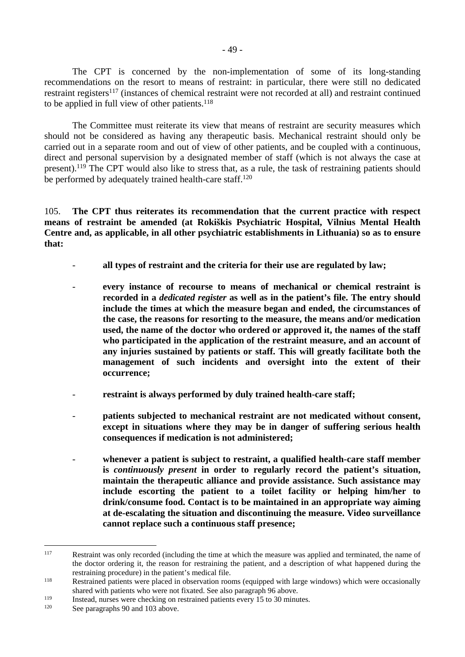The CPT is concerned by the non-implementation of some of its long-standing recommendations on the resort to means of restraint: in particular, there were still no dedicated restraint registers<sup>117</sup> (instances of chemical restraint were not recorded at all) and restraint continued to be applied in full view of other patients.<sup>118</sup>

The Committee must reiterate its view that means of restraint are security measures which should not be considered as having any therapeutic basis. Mechanical restraint should only be carried out in a separate room and out of view of other patients, and be coupled with a continuous, direct and personal supervision by a designated member of staff (which is not always the case at present).<sup>119</sup> The CPT would also like to stress that, as a rule, the task of restraining patients should be performed by adequately trained health-care staff.<sup>120</sup>

105. **The CPT thus reiterates its recommendation that the current practice with respect means of restraint be amended (at Rokiškis Psychiatric Hospital, Vilnius Mental Health Centre and, as applicable, in all other psychiatric establishments in Lithuania) so as to ensure that:**

- all types of restraint and the criteria for their use are regulated by law;
- **every instance of recourse to means of mechanical or chemical restraint is recorded in a** *dedicated register* **as well as in the patient's file. The entry should include the times at which the measure began and ended, the circumstances of the case, the reasons for resorting to the measure, the means and/or medication used, the name of the doctor who ordered or approved it, the names of the staff who participated in the application of the restraint measure, and an account of any injuries sustained by patients or staff. This will greatly facilitate both the management of such incidents and oversight into the extent of their occurrence;**
- restraint is always performed by duly trained health-care staff;
- patients subjected to mechanical restraint are not medicated without consent, **except in situations where they may be in danger of suffering serious health consequences if medication is not administered;**
- **whenever a patient is subject to restraint, a qualified health-care staff member is** *continuously present* **in order to regularly record the patient's situation, maintain the therapeutic alliance and provide assistance. Such assistance may include escorting the patient to a toilet facility or helping him/her to drink/consume food. Contact is to be maintained in an appropriate way aiming at de-escalating the situation and discontinuing the measure. Video surveillance cannot replace such a continuous staff presence;**

<sup>&</sup>lt;sup>117</sup> Restraint was only recorded (including the time at which the measure was applied and terminated, the name of the doctor ordering it, the reason for restraining the patient, and a description of what happened during the restraining procedure) in the patient's medical file.

<sup>118</sup> Restrained patients were placed in observation rooms (equipped with large windows) which were occasionally shared with patients who were not fixated. See also paragraph 96 above.

<sup>119</sup> Instead, nurses were checking on restrained patients every 15 to 30 minutes.<br>120 See personship 00 and 103 above

See paragraphs 90 and 103 above.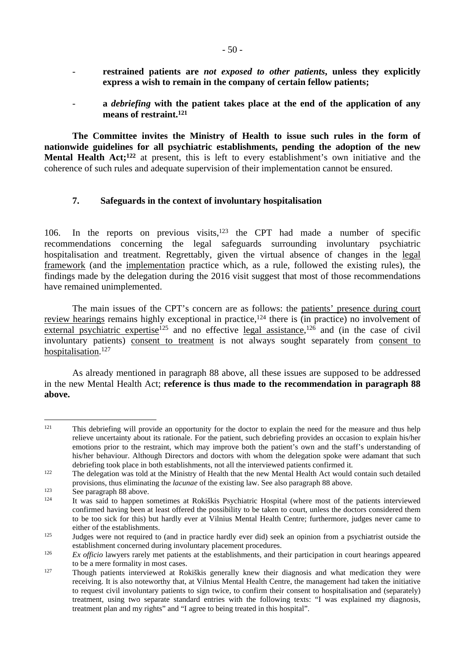- restrained patients are *not exposed to other patients*, unless they explicitly **express a wish to remain in the company of certain fellow patients;**
- **a** *debriefing* **with the patient takes place at the end of the application of any means of restraint.<sup>121</sup>**

**The Committee invites the Ministry of Health to issue such rules in the form of nationwide guidelines for all psychiatric establishments, pending the adoption of the new Mental Health Act;<sup>122</sup>** at present, this is left to every establishment's own initiative and the coherence of such rules and adequate supervision of their implementation cannot be ensured.

### <span id="page-49-0"></span>**7. Safeguards in the context of involuntary hospitalisation**

106. In the reports on previous visits, $123$  the CPT had made a number of specific recommendations concerning the legal safeguards surrounding involuntary psychiatric hospitalisation and treatment. Regrettably, given the virtual absence of changes in the legal framework (and the implementation practice which, as a rule, followed the existing rules), the findings made by the delegation during the 2016 visit suggest that most of those recommendations have remained unimplemented.

The main issues of the CPT's concern are as follows: the patients' presence during court review hearings remains highly exceptional in practice,<sup>124</sup> there is (in practice) no involvement of external psychiatric expertise<sup>125</sup> and no effective legal assistance,<sup>126</sup> and (in the case of civil involuntary patients) consent to treatment is not always sought separately from consent to hospitalisation.<sup>127</sup>

As already mentioned in paragraph 88 above, all these issues are supposed to be addressed in the new Mental Health Act; **reference is thus made to the recommendation in paragraph 88 above.** 

<sup>&</sup>lt;sup>121</sup> This debriefing will provide an opportunity for the doctor to explain the need for the measure and thus help relieve uncertainty about its rationale. For the patient, such debriefing provides an occasion to explain his/her emotions prior to the restraint, which may improve both the patient's own and the staff's understanding of his/her behaviour. Although Directors and doctors with whom the delegation spoke were adamant that such debriefing took place in both establishments, not all the interviewed patients confirmed it.

<sup>&</sup>lt;sup>122</sup> The delegation was told at the Ministry of Health that the new Mental Health Act would contain such detailed provisions, thus eliminating the *lacunae* of the existing law. See also paragraph 88 above.

<sup>&</sup>lt;sup>123</sup> See paragraph 88 above.<br><sup>124</sup> It was said to bannen se

<sup>124</sup> It was said to happen sometimes at Rokiškis Psychiatric Hospital (where most of the patients interviewed confirmed having been at least offered the possibility to be taken to court, unless the doctors considered them to be too sick for this) but hardly ever at Vilnius Mental Health Centre; furthermore, judges never came to either of the establishments.

<sup>&</sup>lt;sup>125</sup> Judges were not required to (and in practice hardly ever did) seek an opinion from a psychiatrist outside the establishment concerned during involuntary placement procedures.

<sup>&</sup>lt;sup>126</sup> *Ex officio* lawyers rarely met patients at the establishments, and their participation in court hearings appeared to be a mere formality in most cases.

<sup>127</sup> Though patients interviewed at Rokiškis generally knew their diagnosis and what medication they were receiving. It is also noteworthy that, at Vilnius Mental Health Centre, the management had taken the initiative to request civil involuntary patients to sign twice, to confirm their consent to hospitalisation and (separately) treatment, using two separate standard entries with the following texts: "I was explained my diagnosis, treatment plan and my rights" and "I agree to being treated in this hospital".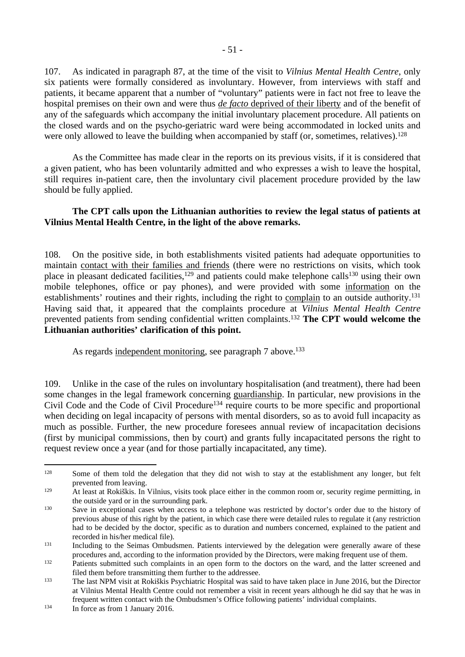107. As indicated in paragraph 87, at the time of the visit to *Vilnius Mental Health Centre*, only six patients were formally considered as involuntary. However, from interviews with staff and patients, it became apparent that a number of "voluntary" patients were in fact not free to leave the hospital premises on their own and were thus *de facto* deprived of their liberty and of the benefit of any of the safeguards which accompany the initial involuntary placement procedure. All patients on the closed wards and on the psycho-geriatric ward were being accommodated in locked units and were only allowed to leave the building when accompanied by staff (or, sometimes, relatives).<sup>128</sup>

As the Committee has made clear in the reports on its previous visits, if it is considered that a given patient, who has been voluntarily admitted and who expresses a wish to leave the hospital, still requires in-patient care, then the involuntary civil placement procedure provided by the law should be fully applied.

### **The CPT calls upon the Lithuanian authorities to review the legal status of patients at Vilnius Mental Health Centre, in the light of the above remarks.**

108. On the positive side, in both establishments visited patients had adequate opportunities to maintain contact with their families and friends (there were no restrictions on visits, which took place in pleasant dedicated facilities,<sup>129</sup> and patients could make telephone calls<sup>130</sup> using their own mobile telephones, office or pay phones), and were provided with some information on the establishments' routines and their rights, including the right to complain to an outside authority.<sup>131</sup> Having said that, it appeared that the complaints procedure at *Vilnius Mental Health Centre* prevented patients from sending confidential written complaints.<sup>132</sup> **The CPT would welcome the Lithuanian authorities' clarification of this point.**

As regards independent monitoring, see paragraph 7 above.<sup>133</sup>

109. Unlike in the case of the rules on involuntary hospitalisation (and treatment), there had been some changes in the legal framework concerning guardianship. In particular, new provisions in the Civil Code and the Code of Civil Procedure<sup>134</sup> require courts to be more specific and proportional when deciding on legal incapacity of persons with mental disorders, so as to avoid full incapacity as much as possible. Further, the new procedure foresees annual review of incapacitation decisions (first by municipal commissions, then by court) and grants fully incapacitated persons the right to request review once a year (and for those partially incapacitated, any time).

<sup>&</sup>lt;sup>128</sup> Some of them told the delegation that they did not wish to stay at the establishment any longer, but felt prevented from leaving.

<sup>&</sup>lt;sup>129</sup> At least at Rokiškis. In Vilnius, visits took place either in the common room or, security regime permitting, in the outside yard or in the surrounding park.

<sup>&</sup>lt;sup>130</sup> Save in exceptional cases when access to a telephone was restricted by doctor's order due to the history of previous abuse of this right by the patient, in which case there were detailed rules to regulate it (any restriction had to be decided by the doctor, specific as to duration and numbers concerned, explained to the patient and recorded in his/her medical file).

<sup>&</sup>lt;sup>131</sup> Including to the Seimas Ombudsmen. Patients interviewed by the delegation were generally aware of these procedures and, according to the information provided by the Directors, were making frequent use of them.

<sup>&</sup>lt;sup>132</sup> Patients submitted such complaints in an open form to the doctors on the ward, and the latter screened and filed them before transmitting them further to the addressee.

<sup>133</sup> The last NPM visit at Rokiškis Psychiatric Hospital was said to have taken place in June 2016, but the Director at Vilnius Mental Health Centre could not remember a visit in recent years although he did say that he was in frequent written contact with the Ombudsmen's Office following patients' individual complaints.

<sup>&</sup>lt;sup>134</sup> In force as from 1 January 2016.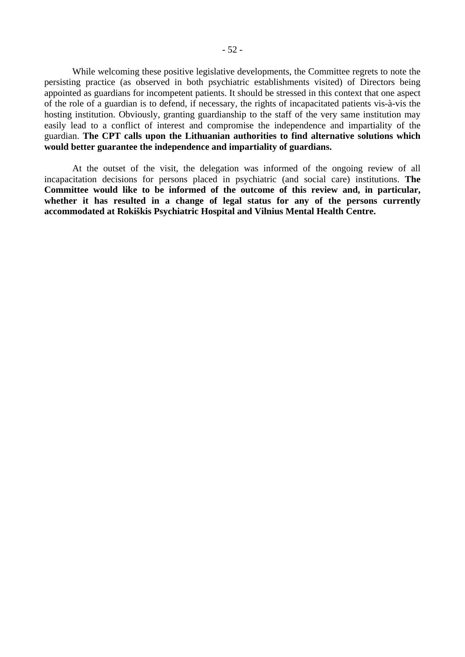While welcoming these positive legislative developments, the Committee regrets to note the persisting practice (as observed in both psychiatric establishments visited) of Directors being appointed as guardians for incompetent patients. It should be stressed in this context that one aspect of the role of a guardian is to defend, if necessary, the rights of incapacitated patients vis-à-vis the hosting institution. Obviously, granting guardianship to the staff of the very same institution may easily lead to a conflict of interest and compromise the independence and impartiality of the guardian. **The CPT calls upon the Lithuanian authorities to find alternative solutions which would better guarantee the independence and impartiality of guardians.**

At the outset of the visit, the delegation was informed of the ongoing review of all incapacitation decisions for persons placed in psychiatric (and social care) institutions. **The Committee would like to be informed of the outcome of this review and, in particular, whether it has resulted in a change of legal status for any of the persons currently accommodated at Rokiškis Psychiatric Hospital and Vilnius Mental Health Centre.**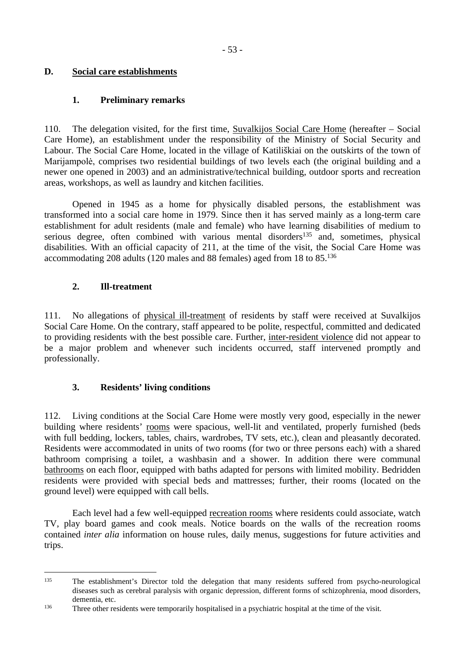## <span id="page-52-0"></span>**D. Social care establishments**

## <span id="page-52-1"></span>**1. Preliminary remarks**

110. The delegation visited, for the first time, Suvalkijos Social Care Home (hereafter – Social Care Home), an establishment under the responsibility of the Ministry of Social Security and Labour. The Social Care Home, located in the village of Katiliškiai on the outskirts of the town of Marijampolė, comprises two residential buildings of two levels each (the original building and a newer one opened in 2003) and an administrative/technical building, outdoor sports and recreation areas, workshops, as well as laundry and kitchen facilities.

Opened in 1945 as a home for physically disabled persons, the establishment was transformed into a social care home in 1979. Since then it has served mainly as a long-term care establishment for adult residents (male and female) who have learning disabilities of medium to serious degree, often combined with various mental disorders<sup>135</sup> and, sometimes, physical disabilities. With an official capacity of 211, at the time of the visit, the Social Care Home was accommodating 208 adults (120 males and 88 females) aged from 18 to 85.<sup>136</sup>

# <span id="page-52-2"></span>**2. Ill-treatment**

111. No allegations of physical ill-treatment of residents by staff were received at Suvalkijos Social Care Home. On the contrary, staff appeared to be polite, respectful, committed and dedicated to providing residents with the best possible care. Further, inter-resident violence did not appear to be a major problem and whenever such incidents occurred, staff intervened promptly and professionally.

# <span id="page-52-3"></span>**3. Residents' living conditions**

112. Living conditions at the Social Care Home were mostly very good, especially in the newer building where residents' rooms were spacious, well-lit and ventilated, properly furnished (beds with full bedding, lockers, tables, chairs, wardrobes, TV sets, etc.), clean and pleasantly decorated. Residents were accommodated in units of two rooms (for two or three persons each) with a shared bathroom comprising a toilet, a washbasin and a shower. In addition there were communal bathrooms on each floor, equipped with baths adapted for persons with limited mobility. Bedridden residents were provided with special beds and mattresses; further, their rooms (located on the ground level) were equipped with call bells.

Each level had a few well-equipped recreation rooms where residents could associate, watch TV, play board games and cook meals. Notice boards on the walls of the recreation rooms contained *inter alia* information on house rules, daily menus, suggestions for future activities and trips.

<sup>&</sup>lt;sup>135</sup> The establishment's Director told the delegation that many residents suffered from psycho-neurological diseases such as cerebral paralysis with organic depression, different forms of schizophrenia, mood disorders, dementia, etc.

<sup>&</sup>lt;sup>136</sup> Three other residents were temporarily hospitalised in a psychiatric hospital at the time of the visit.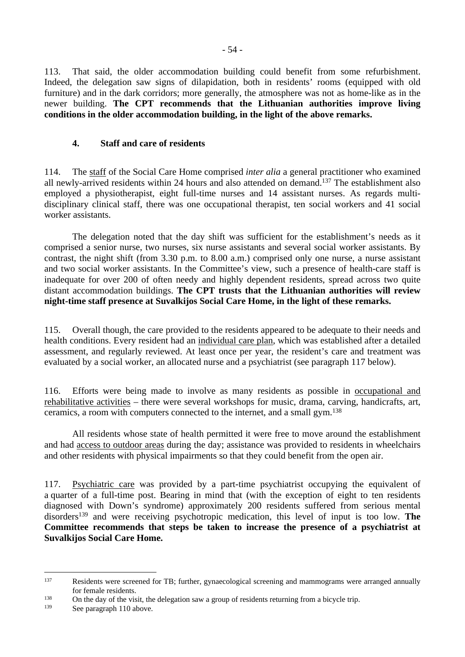113. That said, the older accommodation building could benefit from some refurbishment. Indeed, the delegation saw signs of dilapidation, both in residents' rooms (equipped with old furniture) and in the dark corridors; more generally, the atmosphere was not as home-like as in the newer building. **The CPT recommends that the Lithuanian authorities improve living conditions in the older accommodation building, in the light of the above remarks.**

## <span id="page-53-0"></span>**4. Staff and care of residents**

114. The staff of the Social Care Home comprised *inter alia* a general practitioner who examined all newly-arrived residents within 24 hours and also attended on demand.<sup>137</sup> The establishment also employed a physiotherapist, eight full-time nurses and 14 assistant nurses. As regards multidisciplinary clinical staff, there was one occupational therapist, ten social workers and 41 social worker assistants.

The delegation noted that the day shift was sufficient for the establishment's needs as it comprised a senior nurse, two nurses, six nurse assistants and several social worker assistants. By contrast, the night shift (from 3.30 p.m. to 8.00 a.m.) comprised only one nurse, a nurse assistant and two social worker assistants. In the Committee's view, such a presence of health-care staff is inadequate for over 200 of often needy and highly dependent residents, spread across two quite distant accommodation buildings. **The CPT trusts that the Lithuanian authorities will review night-time staff presence at Suvalkijos Social Care Home, in the light of these remarks.**

115. Overall though, the care provided to the residents appeared to be adequate to their needs and health conditions. Every resident had an individual care plan, which was established after a detailed assessment, and regularly reviewed. At least once per year, the resident's care and treatment was evaluated by a social worker, an allocated nurse and a psychiatrist (see paragraph 117 below).

116. Efforts were being made to involve as many residents as possible in occupational and rehabilitative activities – there were several workshops for music, drama, carving, handicrafts, art, ceramics, a room with computers connected to the internet, and a small gym.<sup>138</sup>

All residents whose state of health permitted it were free to move around the establishment and had access to outdoor areas during the day; assistance was provided to residents in wheelchairs and other residents with physical impairments so that they could benefit from the open air.

117. Psychiatric care was provided by a part-time psychiatrist occupying the equivalent of a quarter of a full-time post. Bearing in mind that (with the exception of eight to ten residents diagnosed with Down's syndrome) approximately 200 residents suffered from serious mental disorders<sup>139</sup> and were receiving psychotropic medication, this level of input is too low. **The Committee recommends that steps be taken to increase the presence of a psychiatrist at Suvalkijos Social Care Home.**

<sup>137</sup> Residents were screened for TB; further, gynaecological screening and mammograms were arranged annually for female residents.

<sup>&</sup>lt;sup>138</sup> On the day of the visit, the delegation saw a group of residents returning from a bicycle trip.<br><sup>139</sup> See persons 110 ebove

See paragraph 110 above.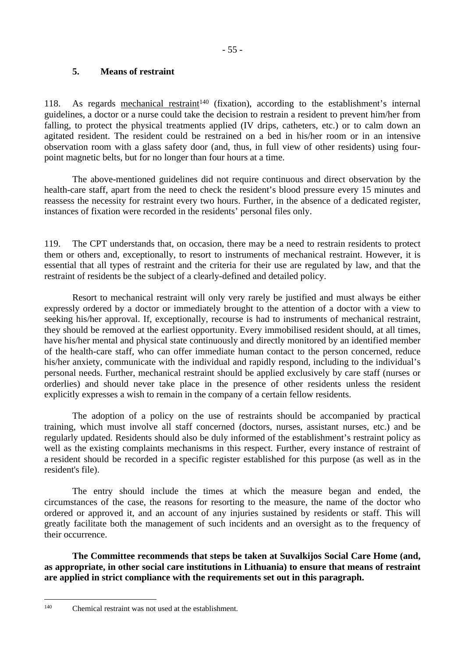## <span id="page-54-0"></span>**5. Means of restraint**

118. As regards mechanical restraint<sup>140</sup> (fixation), according to the establishment's internal guidelines, a doctor or a nurse could take the decision to restrain a resident to prevent him/her from falling, to protect the physical treatments applied (IV drips, catheters, etc.) or to calm down an agitated resident. The resident could be restrained on a bed in his/her room or in an intensive observation room with a glass safety door (and, thus, in full view of other residents) using fourpoint magnetic belts, but for no longer than four hours at a time.

The above-mentioned guidelines did not require continuous and direct observation by the health-care staff, apart from the need to check the resident's blood pressure every 15 minutes and reassess the necessity for restraint every two hours. Further, in the absence of a dedicated register, instances of fixation were recorded in the residents' personal files only.

119. The CPT understands that, on occasion, there may be a need to restrain residents to protect them or others and, exceptionally, to resort to instruments of mechanical restraint. However, it is essential that all types of restraint and the criteria for their use are regulated by law, and that the restraint of residents be the subject of a clearly-defined and detailed policy.

Resort to mechanical restraint will only very rarely be justified and must always be either expressly ordered by a doctor or immediately brought to the attention of a doctor with a view to seeking his/her approval. If, exceptionally, recourse is had to instruments of mechanical restraint, they should be removed at the earliest opportunity. Every immobilised resident should, at all times, have his/her mental and physical state continuously and directly monitored by an identified member of the health-care staff, who can offer immediate human contact to the person concerned, reduce his/her anxiety, communicate with the individual and rapidly respond, including to the individual's personal needs. Further, mechanical restraint should be applied exclusively by care staff (nurses or orderlies) and should never take place in the presence of other residents unless the resident explicitly expresses a wish to remain in the company of a certain fellow residents.

The adoption of a policy on the use of restraints should be accompanied by practical training, which must involve all staff concerned (doctors, nurses, assistant nurses, etc.) and be regularly updated. Residents should also be duly informed of the establishment's restraint policy as well as the existing complaints mechanisms in this respect. Further, every instance of restraint of a resident should be recorded in a specific register established for this purpose (as well as in the resident's file).

The entry should include the times at which the measure began and ended, the circumstances of the case, the reasons for resorting to the measure, the name of the doctor who ordered or approved it, and an account of any injuries sustained by residents or staff. This will greatly facilitate both the management of such incidents and an oversight as to the frequency of their occurrence.

**The Committee recommends that steps be taken at Suvalkijos Social Care Home (and, as appropriate, in other social care institutions in Lithuania) to ensure that means of restraint are applied in strict compliance with the requirements set out in this paragraph.** 

<sup>140</sup> Chemical restraint was not used at the establishment.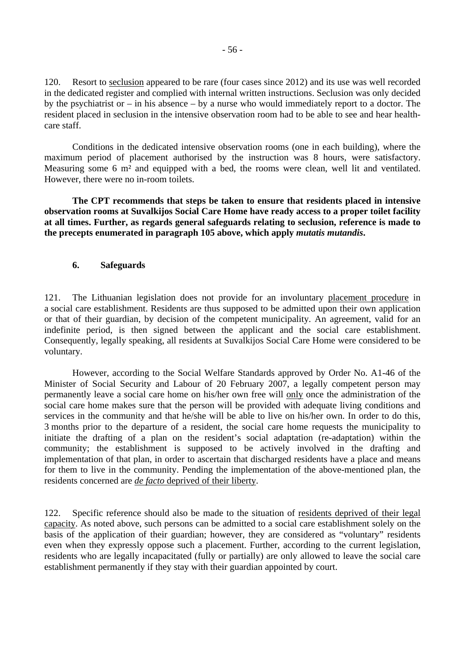120. Resort to seclusion appeared to be rare (four cases since 2012) and its use was well recorded in the dedicated register and complied with internal written instructions. Seclusion was only decided by the psychiatrist or – in his absence – by a nurse who would immediately report to a doctor. The resident placed in seclusion in the intensive observation room had to be able to see and hear healthcare staff.

Conditions in the dedicated intensive observation rooms (one in each building), where the maximum period of placement authorised by the instruction was 8 hours, were satisfactory. Measuring some 6 m<sup>2</sup> and equipped with a bed, the rooms were clean, well lit and ventilated. However, there were no in-room toilets.

**The CPT recommends that steps be taken to ensure that residents placed in intensive observation rooms at Suvalkijos Social Care Home have ready access to a proper toilet facility at all times. Further, as regards general safeguards relating to seclusion, reference is made to the precepts enumerated in paragraph 105 above, which apply** *mutatis mutandis***.**

#### <span id="page-55-0"></span>**6. Safeguards**

121. The Lithuanian legislation does not provide for an involuntary placement procedure in a social care establishment. Residents are thus supposed to be admitted upon their own application or that of their guardian, by decision of the competent municipality. An agreement, valid for an indefinite period, is then signed between the applicant and the social care establishment. Consequently, legally speaking, all residents at Suvalkijos Social Care Home were considered to be voluntary.

However, according to the Social Welfare Standards approved by Order No. A1-46 of the Minister of Social Security and Labour of 20 February 2007, a legally competent person may permanently leave a social care home on his/her own free will only once the administration of the social care home makes sure that the person will be provided with adequate living conditions and services in the community and that he/she will be able to live on his/her own. In order to do this, 3 months prior to the departure of a resident, the social care home requests the municipality to initiate the drafting of a plan on the resident's social adaptation (re-adaptation) within the community; the establishment is supposed to be actively involved in the drafting and implementation of that plan, in order to ascertain that discharged residents have a place and means for them to live in the community. Pending the implementation of the above-mentioned plan, the residents concerned are *de facto* deprived of their liberty.

122. Specific reference should also be made to the situation of residents deprived of their legal capacity. As noted above, such persons can be admitted to a social care establishment solely on the basis of the application of their guardian; however, they are considered as "voluntary" residents even when they expressly oppose such a placement. Further, according to the current legislation, residents who are legally incapacitated (fully or partially) are only allowed to leave the social care establishment permanently if they stay with their guardian appointed by court.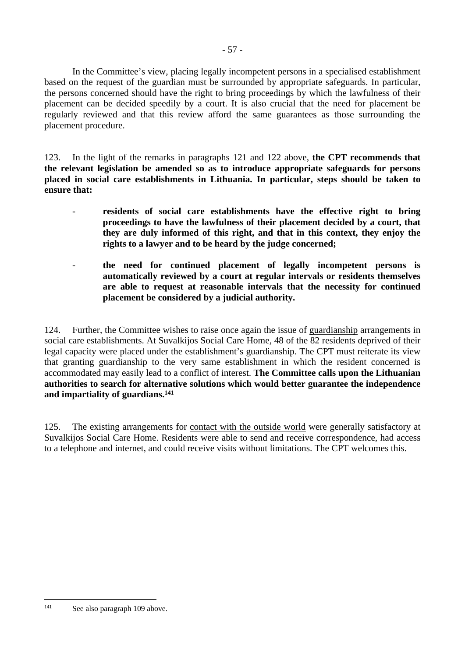In the Committee's view, placing legally incompetent persons in a specialised establishment based on the request of the guardian must be surrounded by appropriate safeguards. In particular, the persons concerned should have the right to bring proceedings by which the lawfulness of their placement can be decided speedily by a court. It is also crucial that the need for placement be regularly reviewed and that this review afford the same guarantees as those surrounding the placement procedure.

123. In the light of the remarks in paragraphs 121 and 122 above, **the CPT recommends that the relevant legislation be amended so as to introduce appropriate safeguards for persons placed in social care establishments in Lithuania. In particular, steps should be taken to ensure that:** 

- residents of social care establishments have the effective right to bring **proceedings to have the lawfulness of their placement decided by a court, that they are duly informed of this right, and that in this context, they enjoy the rights to a lawyer and to be heard by the judge concerned;**
- **the need for continued placement of legally incompetent persons is automatically reviewed by a court at regular intervals or residents themselves are able to request at reasonable intervals that the necessity for continued placement be considered by a judicial authority.**

124. Further, the Committee wishes to raise once again the issue of guardianship arrangements in social care establishments. At Suvalkijos Social Care Home, 48 of the 82 residents deprived of their legal capacity were placed under the establishment's guardianship. The CPT must reiterate its view that granting guardianship to the very same establishment in which the resident concerned is accommodated may easily lead to a conflict of interest. **The Committee calls upon the Lithuanian authorities to search for alternative solutions which would better guarantee the independence and impartiality of guardians.<sup>141</sup>**

125. The existing arrangements for contact with the outside world were generally satisfactory at Suvalkijos Social Care Home. Residents were able to send and receive correspondence, had access to a telephone and internet, and could receive visits without limitations. The CPT welcomes this.

<sup>141</sup> See also paragraph 109 above.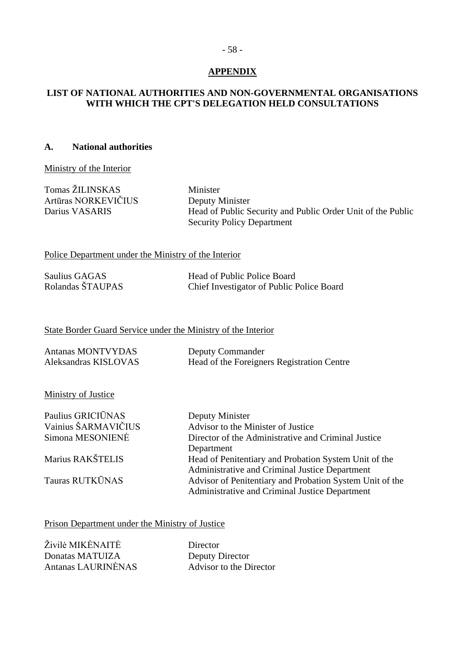# <span id="page-57-0"></span>**APPENDIX**

## **LIST OF NATIONAL AUTHORITIES AND NON-GOVERNMENTAL ORGANISATIONS WITH WHICH THE CPT'S DELEGATION HELD CONSULTATIONS**

#### **A. National authorities**

Ministry of the Interior

Tomas ŽILINSKAS Minister Artūras NORKEVIČIUS Deputy Minister

Darius VASARIS Head of Public Security and Public Order Unit of the Public Security Policy Department

Police Department under the Ministry of the Interior

| Saulius GAGAS    | Head of Public Police Board               |
|------------------|-------------------------------------------|
| Rolandas ŠTAUPAS | Chief Investigator of Public Police Board |

#### State Border Guard Service under the Ministry of the Interior

| Antanas MONTVYDAS    | <b>Deputy Commander</b>                    |
|----------------------|--------------------------------------------|
| Aleksandras KISLOVAS | Head of the Foreigners Registration Centre |

**Ministry of Justice** 

| Paulius GRICIŪNAS   | Deputy Minister                                          |
|---------------------|----------------------------------------------------------|
| Vainius ŠARMAVIČIUS | Advisor to the Minister of Justice                       |
| Simona MESONIENĖ    | Director of the Administrative and Criminal Justice      |
|                     | Department                                               |
| Marius RAKŠTELIS    | Head of Penitentiary and Probation System Unit of the    |
|                     | Administrative and Criminal Justice Department           |
| Tauras RUTKŪNAS     | Advisor of Penitentiary and Probation System Unit of the |
|                     | Administrative and Criminal Justice Department           |

### Prison Department under the Ministry of Justice

| Živilė MIKĖNAITĖ   | Director                |
|--------------------|-------------------------|
| Donatas MATUIZA    | Deputy Director         |
| Antanas LAURINĖNAS | Advisor to the Director |